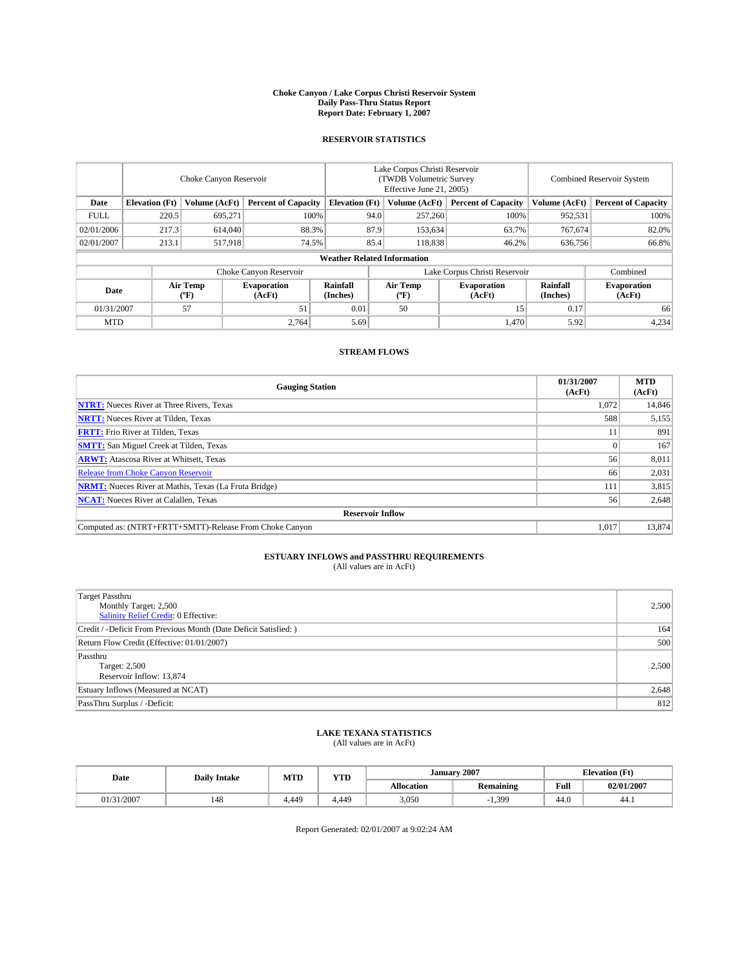#### **Choke Canyon / Lake Corpus Christi Reservoir System Daily Pass-Thru Status Report Report Date: February 1, 2007**

### **RESERVOIR STATISTICS**

|             | Choke Canyon Reservoir                                               |                  |                              |                      | Lake Corpus Christi Reservoir<br>(TWDB Volumetric Survey<br>Effective June 21, 2005) |                            |                              |                            | <b>Combined Reservoir System</b> |  |  |
|-------------|----------------------------------------------------------------------|------------------|------------------------------|----------------------|--------------------------------------------------------------------------------------|----------------------------|------------------------------|----------------------------|----------------------------------|--|--|
| Date        | <b>Elevation</b> (Ft)<br>Volume (AcFt)<br><b>Percent of Capacity</b> |                  | <b>Elevation</b> (Ft)        |                      | Volume (AcFt)                                                                        | <b>Percent of Capacity</b> | Volume (AcFt)                | <b>Percent of Capacity</b> |                                  |  |  |
| <b>FULL</b> | 220.5                                                                | 695.271          |                              | 100%                 | 94.0                                                                                 | 257,260                    | 100%                         | 952,531                    | 100%                             |  |  |
| 02/01/2006  | 217.3                                                                | 614,040          |                              | 88.3%<br>87.9        |                                                                                      | 153,634                    | 63.7%                        | 767.674                    | 82.0%                            |  |  |
| 02/01/2007  | 213.1                                                                | 517,918          | 74.5%                        |                      | 85.4                                                                                 | 118,838                    | 46.2%                        | 636,756                    | 66.8%                            |  |  |
|             | <b>Weather Related Information</b>                                   |                  |                              |                      |                                                                                      |                            |                              |                            |                                  |  |  |
|             |                                                                      |                  | Choke Canyon Reservoir       |                      | Lake Corpus Christi Reservoir                                                        |                            |                              |                            | Combined                         |  |  |
| Date        |                                                                      | Air Temp<br>(°F) | <b>Evaporation</b><br>(AcFt) | Rainfall<br>(Inches) |                                                                                      | Air Temp<br>("F)           | <b>Evaporation</b><br>(AcFt) | Rainfall<br>(Inches)       | <b>Evaporation</b><br>(AcFt)     |  |  |
| 01/31/2007  |                                                                      | 57               | 51                           | 0.01                 |                                                                                      | 50                         | 15                           | 0.17                       | 66                               |  |  |
| <b>MTD</b>  |                                                                      |                  | 2,764                        | 5.69                 |                                                                                      |                            | 1,470                        | 5.92                       | 4,234                            |  |  |

## **STREAM FLOWS**

| <b>Gauging Station</b>                                       | 01/31/2007<br>(AcFt) | <b>MTD</b><br>(AcFt) |
|--------------------------------------------------------------|----------------------|----------------------|
| <b>NTRT:</b> Nueces River at Three Rivers, Texas             | 1,072                | 14,846               |
| <b>NRTT:</b> Nueces River at Tilden, Texas                   | 588                  | 5,155                |
| <b>FRTT:</b> Frio River at Tilden, Texas                     |                      | 891                  |
| <b>SMTT:</b> San Miguel Creek at Tilden, Texas               |                      | 167                  |
| <b>ARWT:</b> Atascosa River at Whitsett, Texas               | 56                   | 8,011                |
| <b>Release from Choke Canyon Reservoir</b>                   | 66                   | 2,031                |
| <b>NRMT:</b> Nueces River at Mathis, Texas (La Fruta Bridge) | 111                  | 3,815                |
| <b>NCAT:</b> Nueces River at Calallen, Texas                 | 56                   | 2,648                |
| <b>Reservoir Inflow</b>                                      |                      |                      |
| Computed as: (NTRT+FRTT+SMTT)-Release From Choke Canyon      | 1,017                | 13,874               |

# **ESTUARY INFLOWS and PASSTHRU REQUIREMENTS**<br>(All values are in AcFt)

| Target Passthru<br>Monthly Target: 2,500<br>Salinity Relief Credit: 0 Effective: | 2,500 |
|----------------------------------------------------------------------------------|-------|
| Credit / -Deficit From Previous Month (Date Deficit Satisfied: )                 | 164   |
| Return Flow Credit (Effective: 01/01/2007)                                       | 500   |
| Passthru<br>Target: 2,500<br>Reservoir Inflow: 13,874                            | 2,500 |
| Estuary Inflows (Measured at NCAT)                                               | 2,648 |
| PassThru Surplus / -Deficit:                                                     | 812   |

# **LAKE TEXANA STATISTICS** (All values are in AcFt)

| Date                | <b>Daily Intake</b> | MTD   | <b>YTD</b> |            | <b>January 2007</b> |                                         | <b>Elevation</b> (Ft) |
|---------------------|---------------------|-------|------------|------------|---------------------|-----------------------------------------|-----------------------|
|                     |                     |       |            | Allocation | <b>Remaining</b>    | Full<br>the contract of the contract of | 02/01/2007            |
| 1/2007<br>$\sim$ 10 | 148                 | 4.449 | 4.449      | 3,050      | 1.399               | 44.0                                    | 44.1                  |

Report Generated: 02/01/2007 at 9:02:24 AM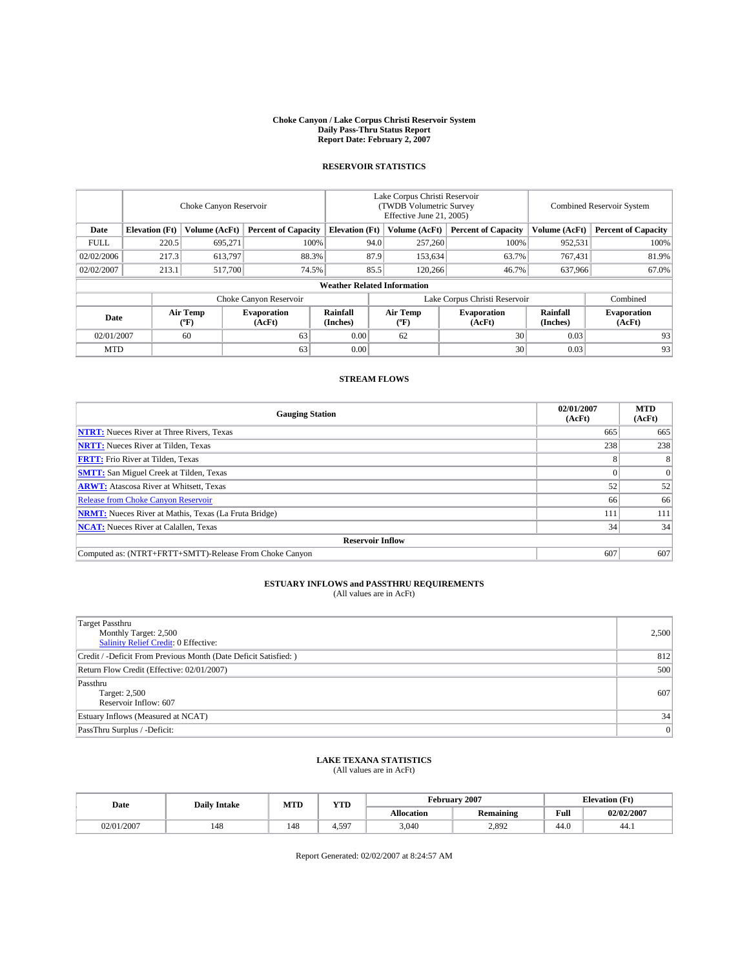#### **Choke Canyon / Lake Corpus Christi Reservoir System Daily Pass-Thru Status Report Report Date: February 2, 2007**

## **RESERVOIR STATISTICS**

|             | Choke Canyon Reservoir                                               |                  |                              |                      | Lake Corpus Christi Reservoir<br>(TWDB Volumetric Survey<br>Effective June 21, 2005) |                              |                              |                            | <b>Combined Reservoir System</b> |  |  |
|-------------|----------------------------------------------------------------------|------------------|------------------------------|----------------------|--------------------------------------------------------------------------------------|------------------------------|------------------------------|----------------------------|----------------------------------|--|--|
| Date        | <b>Elevation</b> (Ft)<br>Volume (AcFt)<br><b>Percent of Capacity</b> |                  | <b>Elevation</b> (Ft)        |                      | Volume (AcFt)                                                                        | <b>Percent of Capacity</b>   | Volume (AcFt)                | <b>Percent of Capacity</b> |                                  |  |  |
| <b>FULL</b> | 220.5                                                                | 695,271          |                              | 100%                 | 94.0                                                                                 | 257,260                      | 100%                         | 952,531                    | 100%                             |  |  |
| 02/02/2006  | 217.3                                                                | 613.797          | 88.3%                        |                      | 87.9                                                                                 | 153.634                      | 63.7%                        | 767.431                    | 81.9%                            |  |  |
| 02/02/2007  | 213.1                                                                | 517,700          | 74.5%                        |                      | 85.5                                                                                 | 120,266                      | 46.7%                        | 637,966                    | 67.0%                            |  |  |
|             | <b>Weather Related Information</b>                                   |                  |                              |                      |                                                                                      |                              |                              |                            |                                  |  |  |
|             | Lake Corpus Christi Reservoir<br>Choke Canyon Reservoir<br>Combined  |                  |                              |                      |                                                                                      |                              |                              |                            |                                  |  |  |
| Date        |                                                                      | Air Temp<br>(°F) | <b>Evaporation</b><br>(AcFt) | Rainfall<br>(Inches) |                                                                                      | Air Temp<br>$(^{o}\text{F})$ | <b>Evaporation</b><br>(AcFt) | Rainfall<br>(Inches)       | <b>Evaporation</b><br>(AcFt)     |  |  |
| 02/01/2007  |                                                                      | 60               | 63                           | 0.00                 |                                                                                      | 62                           | 30                           | 0.03                       | 93                               |  |  |
| <b>MTD</b>  |                                                                      |                  | 63                           | 0.00                 |                                                                                      |                              | 30                           | 0.03                       | 93                               |  |  |

## **STREAM FLOWS**

| <b>Gauging Station</b>                                       | 02/01/2007<br>(AcFt) | <b>MTD</b><br>(AcFt) |
|--------------------------------------------------------------|----------------------|----------------------|
| <b>NTRT:</b> Nueces River at Three Rivers, Texas             | 665                  | 665                  |
| <b>NRTT:</b> Nueces River at Tilden, Texas                   | 238                  | 238                  |
| <b>FRTT:</b> Frio River at Tilden, Texas                     | Õ.                   | 8                    |
| <b>SMTT:</b> San Miguel Creek at Tilden, Texas               |                      |                      |
| <b>ARWT:</b> Atascosa River at Whitsett, Texas               | 52                   | 52                   |
| <b>Release from Choke Canyon Reservoir</b>                   | 66                   | 66                   |
| <b>NRMT:</b> Nueces River at Mathis, Texas (La Fruta Bridge) | 111                  | 111                  |
| <b>NCAT:</b> Nueces River at Calallen, Texas                 | 34                   | 34                   |
| <b>Reservoir Inflow</b>                                      |                      |                      |
| Computed as: (NTRT+FRTT+SMTT)-Release From Choke Canyon      | 607                  | 607                  |

# **ESTUARY INFLOWS and PASSTHRU REQUIREMENTS**<br>(All values are in AcFt)

| <b>Target Passthru</b><br>Monthly Target: 2,500<br>Salinity Relief Credit: 0 Effective: | 2,500          |
|-----------------------------------------------------------------------------------------|----------------|
| Credit / -Deficit From Previous Month (Date Deficit Satisfied: )                        | 812            |
| Return Flow Credit (Effective: 02/01/2007)                                              | 500            |
| Passthru<br>Target: 2,500<br>Reservoir Inflow: 607                                      | 607            |
| Estuary Inflows (Measured at NCAT)                                                      | 34             |
| PassThru Surplus / -Deficit:                                                            | $\overline{0}$ |

## **LAKE TEXANA STATISTICS**

(All values are in AcFt)

| Date       | <b>Daily Intake</b> | <b>MTD</b> | <b>YTD</b> | February 2007     |                  |      | <b>Elevation</b> (Ft) |  |
|------------|---------------------|------------|------------|-------------------|------------------|------|-----------------------|--|
|            |                     |            |            | <b>Allocation</b> | <b>Remaining</b> | Full | 02/02/2007            |  |
| 02/01/2007 | 140                 | 148        | $+.59-$    | 3.040             | 2,892            | 44.0 | -44.1                 |  |

Report Generated: 02/02/2007 at 8:24:57 AM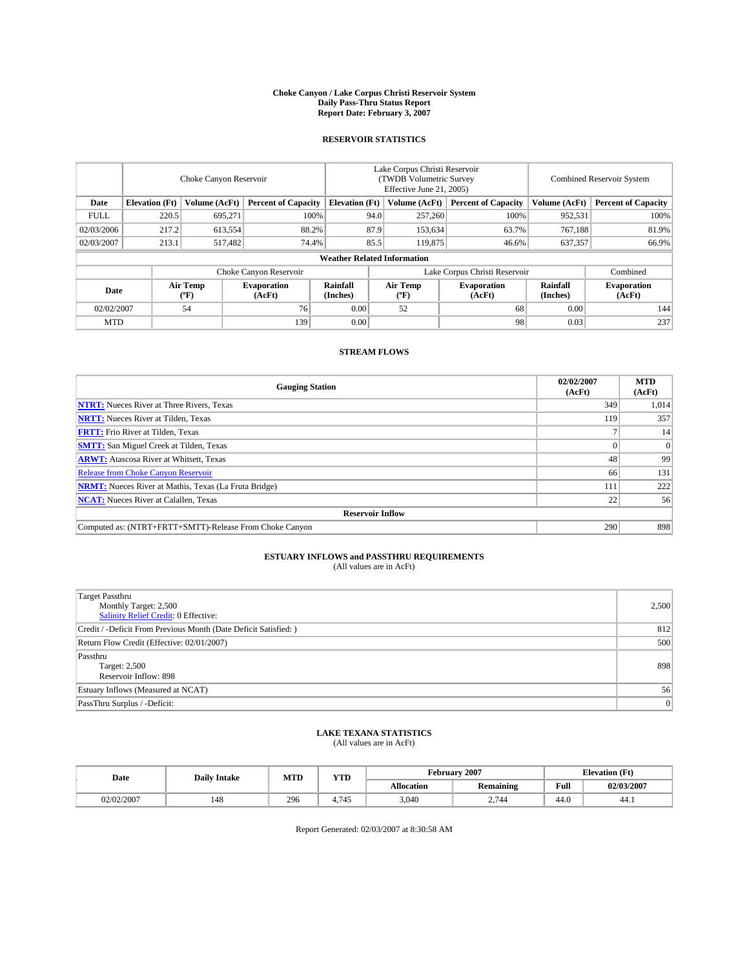#### **Choke Canyon / Lake Corpus Christi Reservoir System Daily Pass-Thru Status Report Report Date: February 3, 2007**

### **RESERVOIR STATISTICS**

|                                                                              | Choke Canyon Reservoir             |                       |                              |                      | Lake Corpus Christi Reservoir<br>(TWDB Volumetric Survey<br>Effective June 21, 2005) |                                           |                               |                      | <b>Combined Reservoir System</b> |  |  |
|------------------------------------------------------------------------------|------------------------------------|-----------------------|------------------------------|----------------------|--------------------------------------------------------------------------------------|-------------------------------------------|-------------------------------|----------------------|----------------------------------|--|--|
| Date<br><b>Elevation</b> (Ft)<br>Volume (AcFt)<br><b>Percent of Capacity</b> |                                    | <b>Elevation</b> (Ft) |                              | Volume (AcFt)        | <b>Percent of Capacity</b>                                                           | Volume (AcFt)                             | <b>Percent of Capacity</b>    |                      |                                  |  |  |
| <b>FULL</b>                                                                  | 220.5                              | 695.271               | 100%                         |                      | 94.0                                                                                 | 257,260                                   | 100%                          | 952,531              | 100%                             |  |  |
| 02/03/2006                                                                   | 217.2                              | 613,554               |                              | 87.9<br>88.2%        |                                                                                      | 153,634                                   | 63.7%                         | 767.188              | 81.9%                            |  |  |
| 02/03/2007                                                                   | 213.1                              | 517,482               | 74.4%                        |                      | 85.5                                                                                 | 119,875                                   | 46.6%                         | 637,357              | 66.9%                            |  |  |
|                                                                              | <b>Weather Related Information</b> |                       |                              |                      |                                                                                      |                                           |                               |                      |                                  |  |  |
|                                                                              |                                    |                       | Choke Canyon Reservoir       |                      |                                                                                      |                                           | Lake Corpus Christi Reservoir |                      | Combined                         |  |  |
| Date                                                                         |                                    | Air Temp<br>(°F)      | <b>Evaporation</b><br>(AcFt) | Rainfall<br>(Inches) |                                                                                      | Air Temp<br>$({}^{\mathrm{o}}\mathrm{F})$ | <b>Evaporation</b><br>(AcFt)  | Rainfall<br>(Inches) | <b>Evaporation</b><br>(AcFt)     |  |  |
| 02/02/2007                                                                   |                                    | 54                    | 76                           | 0.00                 |                                                                                      | 52                                        | 68                            | 0.00                 | 144                              |  |  |
| <b>MTD</b>                                                                   |                                    |                       | 139                          | 0.00                 |                                                                                      |                                           | 98                            | 0.03                 | 237                              |  |  |

## **STREAM FLOWS**

| <b>Gauging Station</b>                                       | 02/02/2007<br>(AcFt) | <b>MTD</b><br>(AcFt) |
|--------------------------------------------------------------|----------------------|----------------------|
| <b>NTRT:</b> Nueces River at Three Rivers, Texas             | 349                  | 1,014                |
| <b>NRTT:</b> Nueces River at Tilden, Texas                   | 119                  | 357                  |
| <b>FRTT:</b> Frio River at Tilden, Texas                     |                      | 14                   |
| <b>SMTT:</b> San Miguel Creek at Tilden, Texas               |                      | $\Omega$             |
| <b>ARWT:</b> Atascosa River at Whitsett, Texas               | 48                   | 99                   |
| <b>Release from Choke Canyon Reservoir</b>                   | 66                   | 131                  |
| <b>NRMT:</b> Nueces River at Mathis, Texas (La Fruta Bridge) | 111                  | 222                  |
| <b>NCAT:</b> Nueces River at Calallen, Texas                 | 22                   | 56                   |
| <b>Reservoir Inflow</b>                                      |                      |                      |
| Computed as: (NTRT+FRTT+SMTT)-Release From Choke Canyon      | 290                  | 898                  |

# **ESTUARY INFLOWS and PASSTHRU REQUIREMENTS**<br>(All values are in AcFt)

| <b>Target Passthru</b><br>Monthly Target: 2,500<br>Salinity Relief Credit: 0 Effective: | 2,500 |
|-----------------------------------------------------------------------------------------|-------|
| Credit / -Deficit From Previous Month (Date Deficit Satisfied: )                        | 812   |
| Return Flow Credit (Effective: 02/01/2007)                                              | 500   |
| Passthru<br>Target: 2,500<br>Reservoir Inflow: 898                                      | 898   |
| Estuary Inflows (Measured at NCAT)                                                      | 56    |
| PassThru Surplus / -Deficit:                                                            | 0     |

# **LAKE TEXANA STATISTICS** (All values are in AcFt)

|  | Date       | <b>Daily Intake</b> | <b>MTD</b> | <b>YTD</b> | February 2007 |           |                                         | <b>Elevation</b> (Ft) |
|--|------------|---------------------|------------|------------|---------------|-----------|-----------------------------------------|-----------------------|
|  |            |                     |            |            | Allocation    | Remaining | Full<br>the contract of the contract of | 02/03/2007            |
|  | 02/02/2007 | 148                 | 296        | $-1$<br>4  | 3,040         | 2.744     | 44.0                                    | 44.1                  |

Report Generated: 02/03/2007 at 8:30:58 AM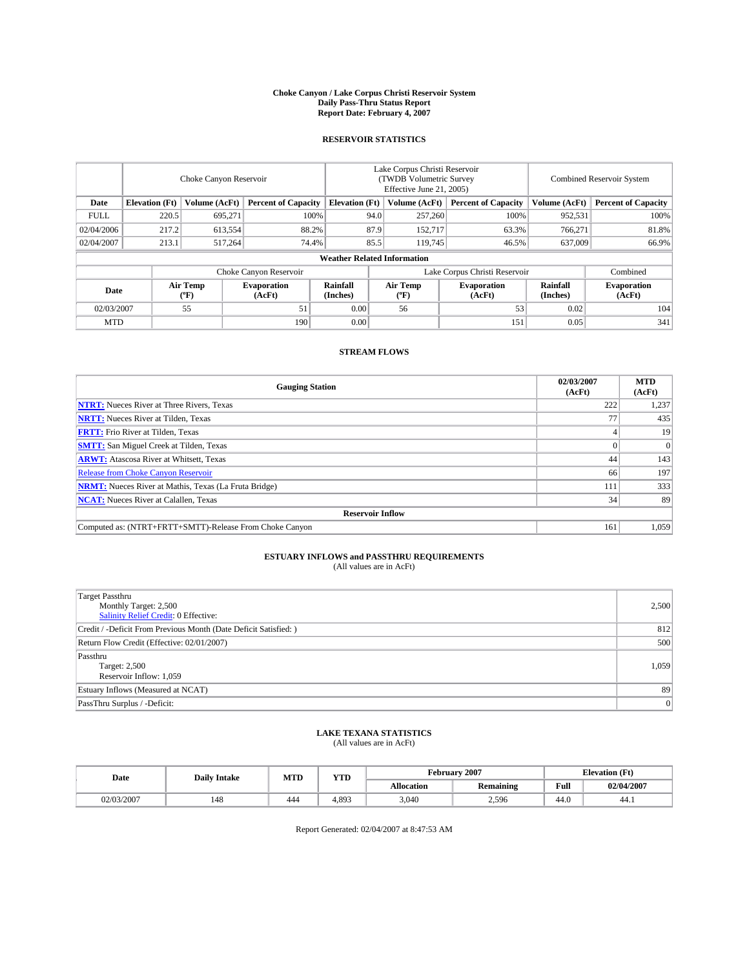#### **Choke Canyon / Lake Corpus Christi Reservoir System Daily Pass-Thru Status Report Report Date: February 4, 2007**

### **RESERVOIR STATISTICS**

|                                                                              | Choke Canyon Reservoir             |                       |                              |                      | Lake Corpus Christi Reservoir<br>(TWDB Volumetric Survey<br>Effective June 21, 2005) |                  |                               |                      | <b>Combined Reservoir System</b> |  |  |  |
|------------------------------------------------------------------------------|------------------------------------|-----------------------|------------------------------|----------------------|--------------------------------------------------------------------------------------|------------------|-------------------------------|----------------------|----------------------------------|--|--|--|
| <b>Elevation</b> (Ft)<br>Volume (AcFt)<br><b>Percent of Capacity</b><br>Date |                                    | <b>Elevation</b> (Ft) |                              | Volume (AcFt)        | <b>Percent of Capacity</b>                                                           | Volume (AcFt)    | <b>Percent of Capacity</b>    |                      |                                  |  |  |  |
| <b>FULL</b>                                                                  | 220.5                              | 695.271               |                              | 100%                 | 94.0                                                                                 | 257,260          | 100%                          | 952,531              | 100%                             |  |  |  |
| 02/04/2006                                                                   | 217.2                              | 613,554               | 88.2%                        |                      | 87.9                                                                                 | 152,717          | 63.3%                         | 766.271              | 81.8%                            |  |  |  |
| 02/04/2007                                                                   | 213.1                              | 517,264               | 74.4%                        |                      | 85.5                                                                                 | 119,745          | 46.5%                         | 637,009              | 66.9%                            |  |  |  |
|                                                                              | <b>Weather Related Information</b> |                       |                              |                      |                                                                                      |                  |                               |                      |                                  |  |  |  |
|                                                                              |                                    |                       | Choke Canyon Reservoir       |                      |                                                                                      |                  | Lake Corpus Christi Reservoir |                      | Combined                         |  |  |  |
| Date                                                                         |                                    | Air Temp<br>(°F)      | <b>Evaporation</b><br>(AcFt) | Rainfall<br>(Inches) |                                                                                      | Air Temp<br>("F) | <b>Evaporation</b><br>(AcFt)  | Rainfall<br>(Inches) | <b>Evaporation</b><br>(AcFt)     |  |  |  |
| 02/03/2007                                                                   |                                    | 55                    | 51                           | 0.00                 |                                                                                      | 56               | 53                            | 0.02                 | 104                              |  |  |  |
| <b>MTD</b>                                                                   |                                    |                       | 190                          | 0.00                 |                                                                                      |                  | 151                           | 0.05                 | 341                              |  |  |  |

## **STREAM FLOWS**

| <b>Gauging Station</b>                                       | 02/03/2007<br>(AcFt) | <b>MTD</b><br>(AcFt) |
|--------------------------------------------------------------|----------------------|----------------------|
| <b>NTRT:</b> Nueces River at Three Rivers, Texas             | 222                  | 1,237                |
| <b>NRTT:</b> Nueces River at Tilden, Texas                   |                      | 435                  |
| <b>FRTT:</b> Frio River at Tilden, Texas                     |                      | 19                   |
| <b>SMTT:</b> San Miguel Creek at Tilden, Texas               |                      | $\overline{0}$       |
| <b>ARWT:</b> Atascosa River at Whitsett, Texas               | 44                   | 143                  |
| <b>Release from Choke Canyon Reservoir</b>                   | 66                   | 197                  |
| <b>NRMT:</b> Nueces River at Mathis, Texas (La Fruta Bridge) | 111                  | 333                  |
| <b>NCAT:</b> Nueces River at Calallen, Texas                 | 34                   | 89                   |
| <b>Reservoir Inflow</b>                                      |                      |                      |
| Computed as: (NTRT+FRTT+SMTT)-Release From Choke Canyon      | 161                  | 1,059                |

# **ESTUARY INFLOWS and PASSTHRU REQUIREMENTS**<br>(All values are in AcFt)

| <b>Target Passthru</b><br>Monthly Target: 2,500<br>Salinity Relief Credit: 0 Effective: | 2,500 |
|-----------------------------------------------------------------------------------------|-------|
| Credit / -Deficit From Previous Month (Date Deficit Satisfied: )                        | 812   |
| Return Flow Credit (Effective: 02/01/2007)                                              | 500   |
| Passthru<br>Target: 2,500<br>Reservoir Inflow: 1,059                                    | 1,059 |
| Estuary Inflows (Measured at NCAT)                                                      | 89    |
| PassThru Surplus / -Deficit:                                                            | 0     |

# **LAKE TEXANA STATISTICS** (All values are in AcFt)

|  | Date       | <b>Daily Intake</b> | MTD | <b>YTD</b> | February 2007 |           |                                         | <b>Elevation</b> (Ft) |
|--|------------|---------------------|-----|------------|---------------|-----------|-----------------------------------------|-----------------------|
|  |            |                     |     |            | Allocation    | Remaining | Full<br>the contract of the contract of | 02/04/2007            |
|  | 02/03/2007 | 148                 | 444 | 4.893      | 3,040         | 2,596     | 44.0                                    | 44.1                  |

Report Generated: 02/04/2007 at 8:47:53 AM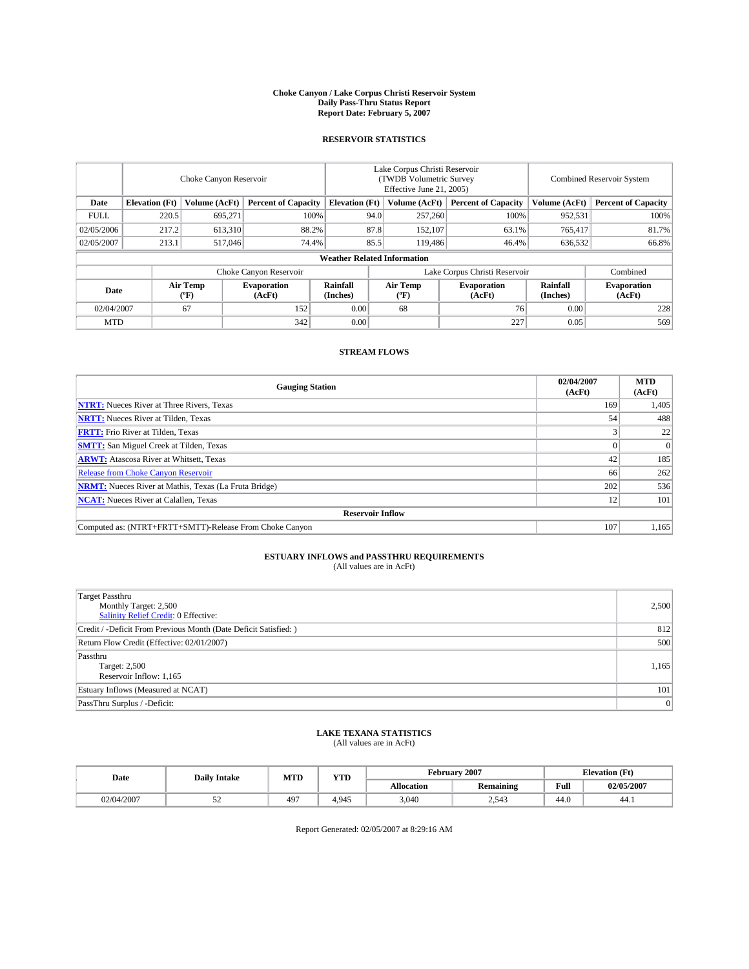#### **Choke Canyon / Lake Corpus Christi Reservoir System Daily Pass-Thru Status Report Report Date: February 5, 2007**

### **RESERVOIR STATISTICS**

|                                                                              | Choke Canyon Reservoir             |                       |                              |                      | Lake Corpus Christi Reservoir<br>(TWDB Volumetric Survey<br>Effective June 21, 2005) |                  |                               |                      | Combined Reservoir System    |  |  |
|------------------------------------------------------------------------------|------------------------------------|-----------------------|------------------------------|----------------------|--------------------------------------------------------------------------------------|------------------|-------------------------------|----------------------|------------------------------|--|--|
| Date<br><b>Elevation</b> (Ft)<br>Volume (AcFt)<br><b>Percent of Capacity</b> |                                    | <b>Elevation</b> (Ft) |                              | Volume (AcFt)        | <b>Percent of Capacity</b>                                                           | Volume (AcFt)    | <b>Percent of Capacity</b>    |                      |                              |  |  |
| <b>FULL</b>                                                                  | 220.5                              | 695.271               | 100%                         |                      | 94.0                                                                                 | 257,260          | 100%                          | 952,531              | 100%                         |  |  |
| 02/05/2006                                                                   | 217.2                              | 613,310               | 88.2%                        |                      | 87.8                                                                                 | 152,107          | 63.1%                         | 765,417              | 81.7%                        |  |  |
| 02/05/2007                                                                   | 213.1                              | 517,046               | 74.4%                        |                      | 85.5                                                                                 | 119,486          | 46.4%                         | 636,532              | 66.8%                        |  |  |
|                                                                              | <b>Weather Related Information</b> |                       |                              |                      |                                                                                      |                  |                               |                      |                              |  |  |
|                                                                              |                                    |                       | Choke Canyon Reservoir       |                      |                                                                                      |                  | Lake Corpus Christi Reservoir |                      | Combined                     |  |  |
| Date                                                                         |                                    | Air Temp<br>(°F)      | <b>Evaporation</b><br>(AcFt) | Rainfall<br>(Inches) |                                                                                      | Air Temp<br>("F) | <b>Evaporation</b><br>(AcFt)  | Rainfall<br>(Inches) | <b>Evaporation</b><br>(AcFt) |  |  |
| 02/04/2007                                                                   |                                    | 67                    | 152                          | 0.00                 |                                                                                      | 68               | 76                            | 0.00                 | 228                          |  |  |
| <b>MTD</b>                                                                   |                                    |                       | 342                          | 0.00                 |                                                                                      |                  | 227                           | 0.05                 | 569                          |  |  |

## **STREAM FLOWS**

| <b>Gauging Station</b>                                       | 02/04/2007<br>(AcFt) | <b>MTD</b><br>(AcFt) |
|--------------------------------------------------------------|----------------------|----------------------|
| <b>NTRT:</b> Nueces River at Three Rivers, Texas             | 169                  | 1,405                |
| <b>NRTT:</b> Nueces River at Tilden, Texas                   | 54                   | 488                  |
| <b>FRTT:</b> Frio River at Tilden, Texas                     |                      | 22                   |
| <b>SMTT:</b> San Miguel Creek at Tilden, Texas               |                      | $\overline{0}$       |
| <b>ARWT:</b> Atascosa River at Whitsett, Texas               | 42                   | 185                  |
| <b>Release from Choke Canyon Reservoir</b>                   | 66                   | 262                  |
| <b>NRMT:</b> Nueces River at Mathis, Texas (La Fruta Bridge) | 202                  | 536                  |
| <b>NCAT:</b> Nueces River at Calallen, Texas                 | 12                   | 101                  |
| <b>Reservoir Inflow</b>                                      |                      |                      |
| Computed as: (NTRT+FRTT+SMTT)-Release From Choke Canyon      | 107                  | 1,165                |

# **ESTUARY INFLOWS and PASSTHRU REQUIREMENTS**<br>(All values are in AcFt)

| <b>Target Passthru</b><br>Monthly Target: 2,500<br>Salinity Relief Credit: 0 Effective: | 2,500          |
|-----------------------------------------------------------------------------------------|----------------|
| Credit / -Deficit From Previous Month (Date Deficit Satisfied: )                        | 812            |
| Return Flow Credit (Effective: 02/01/2007)                                              | 500            |
| Passthru<br>Target: 2,500<br>Reservoir Inflow: 1,165                                    | 1,165          |
| Estuary Inflows (Measured at NCAT)                                                      | 101            |
| PassThru Surplus / -Deficit:                                                            | $\overline{0}$ |

### **LAKE TEXANA STATISTICS** (All values are in AcFt)

| Date       | <b>Daily Intake</b> | MTD | <b>YTD</b> | <b>February 2007</b> |                  |      | <b>Elevation</b> (Ft) |
|------------|---------------------|-----|------------|----------------------|------------------|------|-----------------------|
|            |                     |     |            | Allocation           | <b>Remaining</b> | Full | 02/05/2007            |
| 02/04/2007 |                     | 497 | .945       | 3.040                | 2,543            | 44.0 | 44.1                  |

Report Generated: 02/05/2007 at 8:29:16 AM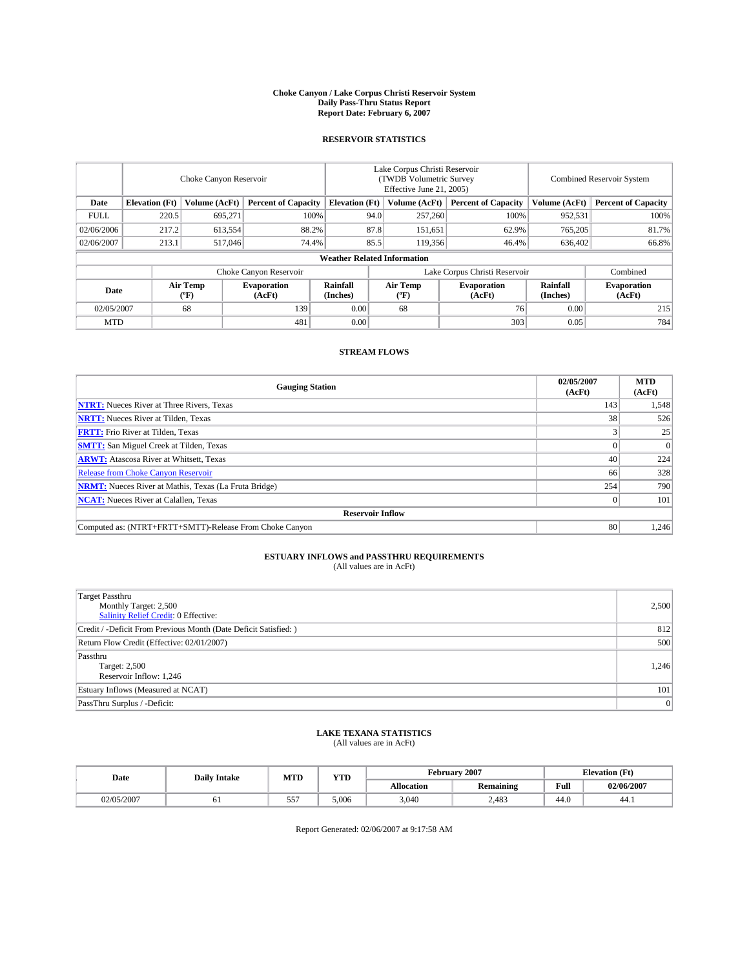#### **Choke Canyon / Lake Corpus Christi Reservoir System Daily Pass-Thru Status Report Report Date: February 6, 2007**

### **RESERVOIR STATISTICS**

|                                                                              | Choke Canyon Reservoir             |                       |                              |                      | Lake Corpus Christi Reservoir<br>(TWDB Volumetric Survey<br>Effective June 21, 2005) |                  |                               |                      | <b>Combined Reservoir System</b> |  |  |
|------------------------------------------------------------------------------|------------------------------------|-----------------------|------------------------------|----------------------|--------------------------------------------------------------------------------------|------------------|-------------------------------|----------------------|----------------------------------|--|--|
| <b>Elevation</b> (Ft)<br>Volume (AcFt)<br>Date<br><b>Percent of Capacity</b> |                                    | <b>Elevation</b> (Ft) |                              | Volume (AcFt)        | <b>Percent of Capacity</b>                                                           | Volume (AcFt)    | <b>Percent of Capacity</b>    |                      |                                  |  |  |
| <b>FULL</b>                                                                  | 220.5                              | 695.271               | 100%                         |                      | 94.0                                                                                 | 257,260          | 100%                          | 952,531              | 100%                             |  |  |
| 02/06/2006                                                                   | 217.2                              | 613,554               | 88.2%                        |                      | 87.8                                                                                 | 151,651          | 62.9%                         | 765,205              | 81.7%                            |  |  |
| 02/06/2007                                                                   | 213.1                              | 517,046               | 74.4%                        | 85.5                 |                                                                                      | 119,356          | 46.4%                         | 636,402              | 66.8%                            |  |  |
|                                                                              | <b>Weather Related Information</b> |                       |                              |                      |                                                                                      |                  |                               |                      |                                  |  |  |
|                                                                              |                                    |                       | Choke Canyon Reservoir       |                      |                                                                                      |                  | Lake Corpus Christi Reservoir |                      | Combined                         |  |  |
| Date                                                                         |                                    | Air Temp<br>(°F)      | <b>Evaporation</b><br>(AcFt) | Rainfall<br>(Inches) |                                                                                      | Air Temp<br>("F) | <b>Evaporation</b><br>(AcFt)  | Rainfall<br>(Inches) | <b>Evaporation</b><br>(AcFt)     |  |  |
| 02/05/2007                                                                   |                                    | 68                    | 139                          | 0.00                 |                                                                                      | 68               | 76                            | 0.00                 | 215                              |  |  |
| <b>MTD</b>                                                                   |                                    |                       | 481                          | 0.00                 |                                                                                      |                  | 303                           | 0.05                 | 784                              |  |  |

## **STREAM FLOWS**

| <b>Gauging Station</b>                                       | 02/05/2007<br>(AcFt) | <b>MTD</b><br>(AcFt) |
|--------------------------------------------------------------|----------------------|----------------------|
| <b>NTRT:</b> Nueces River at Three Rivers, Texas             | 143                  | 1,548                |
| <b>NRTT:</b> Nueces River at Tilden, Texas                   | 38                   | 526                  |
| <b>FRTT:</b> Frio River at Tilden, Texas                     |                      | 25                   |
| <b>SMTT:</b> San Miguel Creek at Tilden, Texas               |                      | $\Omega$             |
| <b>ARWT:</b> Atascosa River at Whitsett, Texas               | 40                   | 224                  |
| <b>Release from Choke Canyon Reservoir</b>                   | 66                   | 328                  |
| <b>NRMT:</b> Nueces River at Mathis, Texas (La Fruta Bridge) | 254                  | 790                  |
| <b>NCAT:</b> Nueces River at Calallen, Texas                 |                      | 101                  |
| <b>Reservoir Inflow</b>                                      |                      |                      |
| Computed as: (NTRT+FRTT+SMTT)-Release From Choke Canyon      | 80                   | 1,246                |

# **ESTUARY INFLOWS and PASSTHRU REQUIREMENTS**<br>(All values are in AcFt)

| <b>Target Passthru</b><br>Monthly Target: 2,500<br>Salinity Relief Credit: 0 Effective: | 2,500 |
|-----------------------------------------------------------------------------------------|-------|
| Credit / -Deficit From Previous Month (Date Deficit Satisfied: )                        | 812   |
| Return Flow Credit (Effective: 02/01/2007)                                              | 500   |
| Passthru<br>Target: 2,500<br>Reservoir Inflow: 1,246                                    | 1,246 |
| Estuary Inflows (Measured at NCAT)                                                      | 101   |
| PassThru Surplus / -Deficit:                                                            | 0     |

# **LAKE TEXANA STATISTICS** (All values are in AcFt)

|  | Date       | <b>Daily Intake</b> | <b>MTD</b> | YTD   | February 2007 |                  |                                         | <b>Elevation</b> (Ft) |
|--|------------|---------------------|------------|-------|---------------|------------------|-----------------------------------------|-----------------------|
|  |            |                     |            |       | Allocation    | <b>Remaining</b> | Full<br>the contract of the contract of | 02/06/2007            |
|  | 02/05/2007 |                     | 557        | 5.006 | 3.040         | 2.483            | 44.0                                    | 44.1                  |

Report Generated: 02/06/2007 at 9:17:58 AM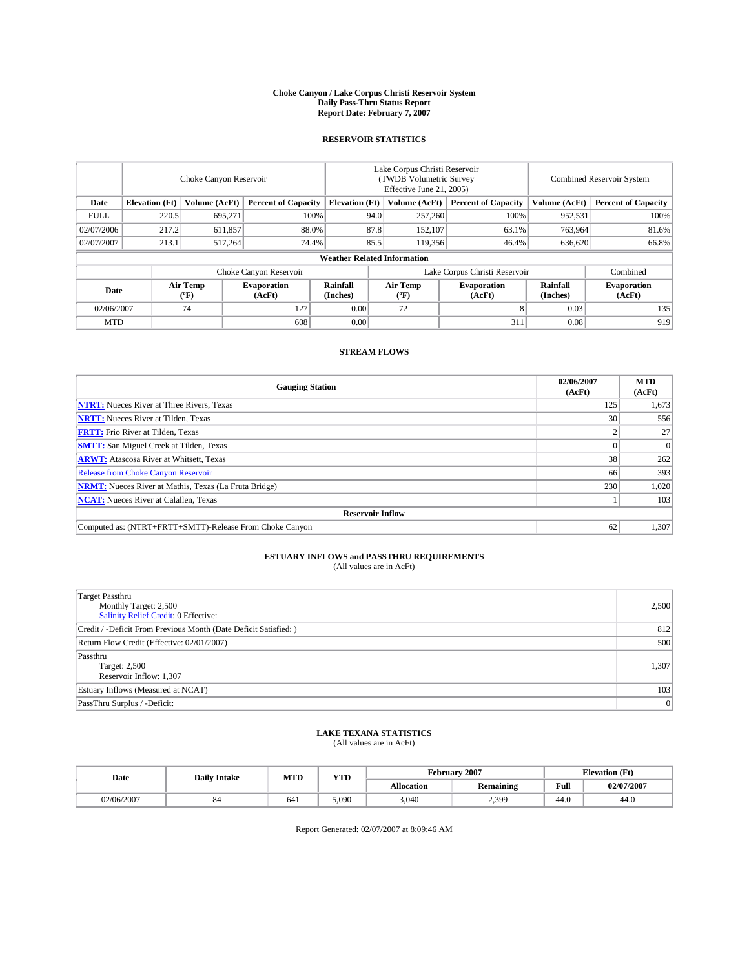#### **Choke Canyon / Lake Corpus Christi Reservoir System Daily Pass-Thru Status Report Report Date: February 7, 2007**

### **RESERVOIR STATISTICS**

|             | Choke Canyon Reservoir                                               |                  |                              |                      | Lake Corpus Christi Reservoir<br>(TWDB Volumetric Survey<br>Effective June 21, 2005) |                              |                               |                            | <b>Combined Reservoir System</b> |  |  |  |
|-------------|----------------------------------------------------------------------|------------------|------------------------------|----------------------|--------------------------------------------------------------------------------------|------------------------------|-------------------------------|----------------------------|----------------------------------|--|--|--|
| Date        | <b>Elevation</b> (Ft)<br>Volume (AcFt)<br><b>Percent of Capacity</b> |                  | <b>Elevation</b> (Ft)        |                      | Volume (AcFt)                                                                        | <b>Percent of Capacity</b>   | Volume (AcFt)                 | <b>Percent of Capacity</b> |                                  |  |  |  |
| <b>FULL</b> | 220.5                                                                | 695.271          |                              | 100%                 | 94.0                                                                                 | 257,260                      | 100%                          | 952,531                    | 100%                             |  |  |  |
| 02/07/2006  | 217.2                                                                | 611,857          | 88.0%                        |                      | 87.8                                                                                 | 152,107                      | 63.1%                         | 763,964                    | 81.6%                            |  |  |  |
| 02/07/2007  | 213.1                                                                | 517.264          | 74.4%                        |                      | 85.5                                                                                 | 119,356                      | 46.4%                         | 636,620                    | 66.8%                            |  |  |  |
|             | <b>Weather Related Information</b>                                   |                  |                              |                      |                                                                                      |                              |                               |                            |                                  |  |  |  |
|             |                                                                      |                  | Choke Canyon Reservoir       |                      |                                                                                      |                              | Lake Corpus Christi Reservoir |                            | Combined                         |  |  |  |
| Date        |                                                                      | Air Temp<br>(°F) | <b>Evaporation</b><br>(AcFt) | Rainfall<br>(Inches) |                                                                                      | Air Temp<br>$(^{o}\text{F})$ | <b>Evaporation</b><br>(AcFt)  | Rainfall<br>(Inches)       | <b>Evaporation</b><br>(AcFt)     |  |  |  |
| 02/06/2007  |                                                                      | 74               | 127                          | 0.00                 |                                                                                      | 72                           |                               | 0.03                       | 135                              |  |  |  |
| <b>MTD</b>  |                                                                      |                  | 608                          | 0.00                 |                                                                                      |                              | 311                           | 0.08                       | 919                              |  |  |  |

## **STREAM FLOWS**

| <b>Gauging Station</b>                                       | 02/06/2007<br>(AcFt) | <b>MTD</b><br>(AcFt) |
|--------------------------------------------------------------|----------------------|----------------------|
| <b>NTRT:</b> Nueces River at Three Rivers, Texas             | 125                  | 1,673                |
| <b>NRTT:</b> Nueces River at Tilden, Texas                   | 30                   | 556                  |
| <b>FRTT:</b> Frio River at Tilden, Texas                     |                      | 27                   |
| <b>SMTT:</b> San Miguel Creek at Tilden, Texas               |                      | $\Omega$             |
| <b>ARWT:</b> Atascosa River at Whitsett, Texas               | 38                   | 262                  |
| <b>Release from Choke Canyon Reservoir</b>                   | 66                   | 393                  |
| <b>NRMT:</b> Nueces River at Mathis, Texas (La Fruta Bridge) | 230                  | 1,020                |
| <b>NCAT:</b> Nueces River at Calallen, Texas                 |                      | 103                  |
| <b>Reservoir Inflow</b>                                      |                      |                      |
| Computed as: (NTRT+FRTT+SMTT)-Release From Choke Canyon      | 62                   | 1,307                |

# **ESTUARY INFLOWS and PASSTHRU REQUIREMENTS**<br>(All values are in AcFt)

| <b>Target Passthru</b><br>Monthly Target: 2,500<br>Salinity Relief Credit: 0 Effective: | 2,500 |
|-----------------------------------------------------------------------------------------|-------|
| Credit / -Deficit From Previous Month (Date Deficit Satisfied: )                        | 812   |
| Return Flow Credit (Effective: 02/01/2007)                                              | 500   |
| Passthru<br>Target: 2,500<br>Reservoir Inflow: 1,307                                    | 1,307 |
| Estuary Inflows (Measured at NCAT)                                                      | 103   |
| PassThru Surplus / -Deficit:                                                            | 0     |

# **LAKE TEXANA STATISTICS** (All values are in AcFt)

|  | Date       | <b>Daily Intake</b> | MTD | <b>YTD</b> | February 2007 |           |                                         | <b>Elevation</b> (Ft) |
|--|------------|---------------------|-----|------------|---------------|-----------|-----------------------------------------|-----------------------|
|  |            |                     |     |            | Allocation    | Remaining | Full<br>the contract of the contract of | 02/07/2007            |
|  | 02/06/2007 | oч                  | 641 | 5.090      | 3,040         | 2,399     | 44.0                                    | 44.0                  |

Report Generated: 02/07/2007 at 8:09:46 AM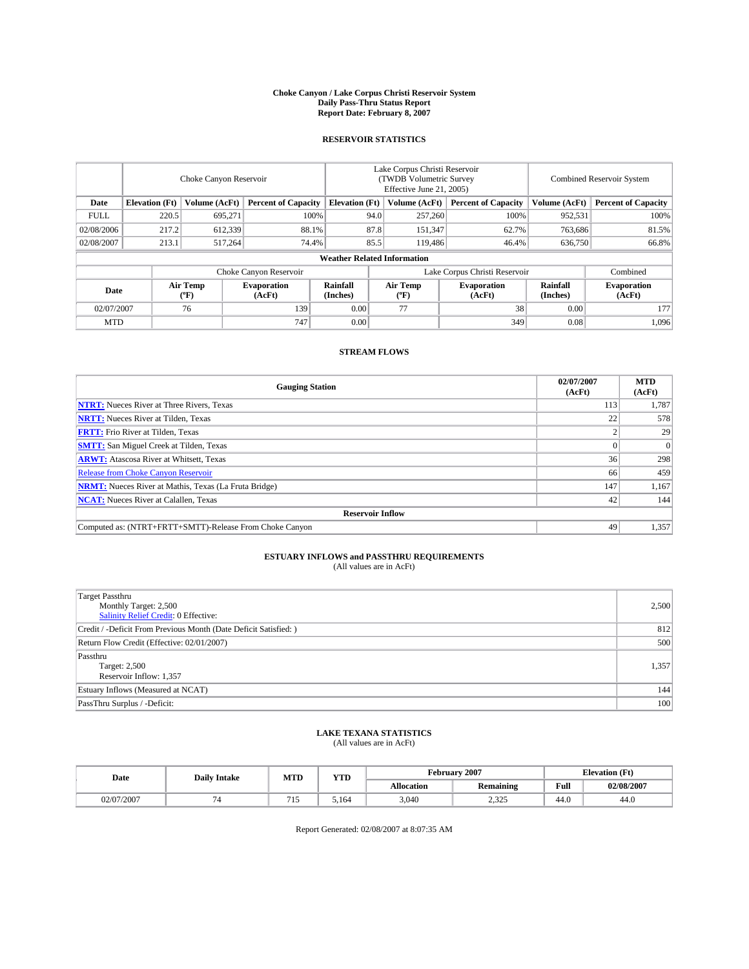#### **Choke Canyon / Lake Corpus Christi Reservoir System Daily Pass-Thru Status Report Report Date: February 8, 2007**

### **RESERVOIR STATISTICS**

|             | Choke Canyon Reservoir                                               |                  |                              |                      | Lake Corpus Christi Reservoir<br>(TWDB Volumetric Survey<br>Effective June 21, 2005) |                            |                               |                             | <b>Combined Reservoir System</b> |  |  |  |
|-------------|----------------------------------------------------------------------|------------------|------------------------------|----------------------|--------------------------------------------------------------------------------------|----------------------------|-------------------------------|-----------------------------|----------------------------------|--|--|--|
| Date        | <b>Elevation</b> (Ft)<br>Volume (AcFt)<br><b>Percent of Capacity</b> |                  | <b>Elevation</b> (Ft)        |                      | Volume (AcFt)                                                                        | <b>Percent of Capacity</b> | Volume (AcFt)                 | <b>Percent of Capacity</b>  |                                  |  |  |  |
| <b>FULL</b> | 220.5                                                                | 695.271          | 100%                         |                      | 94.0                                                                                 | 257,260                    | 100%                          | 952,531                     | 100%                             |  |  |  |
| 02/08/2006  | 217.2                                                                | 612,339          | 88.1%                        |                      | 87.8                                                                                 | 151,347                    | 62.7%                         | 763,686                     | 81.5%                            |  |  |  |
| 02/08/2007  | 213.1                                                                | 517,264          | 74.4%                        | 85.5                 |                                                                                      | 119,486                    | 46.4%                         | 636,750                     | 66.8%                            |  |  |  |
|             | <b>Weather Related Information</b>                                   |                  |                              |                      |                                                                                      |                            |                               |                             |                                  |  |  |  |
|             |                                                                      |                  | Choke Canyon Reservoir       |                      |                                                                                      |                            | Lake Corpus Christi Reservoir |                             | Combined                         |  |  |  |
| Date        |                                                                      | Air Temp<br>("F) | <b>Evaporation</b><br>(AcFt) | Rainfall<br>(Inches) |                                                                                      | Air Temp<br>("F)           | <b>Evaporation</b><br>(AcFt)  | <b>Rainfall</b><br>(Inches) | <b>Evaporation</b><br>(AcFt)     |  |  |  |
| 02/07/2007  |                                                                      | 76               | 139                          | 0.00                 |                                                                                      | 77                         | 38                            | 0.00                        | 177                              |  |  |  |
| <b>MTD</b>  |                                                                      |                  | 747                          | 0.00                 |                                                                                      |                            | 349                           | 0.08                        | 1,096                            |  |  |  |

## **STREAM FLOWS**

| <b>Gauging Station</b>                                       | 02/07/2007<br>(AcFt) | <b>MTD</b><br>(AcFt) |
|--------------------------------------------------------------|----------------------|----------------------|
| <b>NTRT:</b> Nueces River at Three Rivers, Texas             | 113                  | 1,787                |
| <b>NRTT:</b> Nueces River at Tilden, Texas                   | 22                   | 578                  |
| <b>FRTT:</b> Frio River at Tilden, Texas                     |                      | 29                   |
| <b>SMTT:</b> San Miguel Creek at Tilden, Texas               |                      | $\Omega$             |
| <b>ARWT:</b> Atascosa River at Whitsett, Texas               | 36                   | 298                  |
| <b>Release from Choke Canyon Reservoir</b>                   | 66                   | 459                  |
| <b>NRMT:</b> Nueces River at Mathis, Texas (La Fruta Bridge) | 147                  | 1,167                |
| <b>NCAT:</b> Nueces River at Calallen, Texas                 | 42                   | 144                  |
| <b>Reservoir Inflow</b>                                      |                      |                      |
| Computed as: (NTRT+FRTT+SMTT)-Release From Choke Canyon      | 49                   | 1,357                |

# **ESTUARY INFLOWS and PASSTHRU REQUIREMENTS**<br>(All values are in AcFt)

| <b>Target Passthru</b><br>Monthly Target: 2,500<br>Salinity Relief Credit: 0 Effective: | 2,500 |
|-----------------------------------------------------------------------------------------|-------|
| Credit / -Deficit From Previous Month (Date Deficit Satisfied: )                        | 812   |
| Return Flow Credit (Effective: 02/01/2007)                                              | 500   |
| Passthru<br>Target: 2,500<br>Reservoir Inflow: 1,357                                    | 1,357 |
| Estuary Inflows (Measured at NCAT)                                                      | 144   |
| PassThru Surplus / -Deficit:                                                            | 100   |

# **LAKE TEXANA STATISTICS** (All values are in AcFt)

|  | Date       | <b>Daily Intake</b> | <b>MTD</b> | <b>YTD</b> | February 2007 |                  |                                         | <b>Elevation</b> (Ft) |
|--|------------|---------------------|------------|------------|---------------|------------------|-----------------------------------------|-----------------------|
|  |            |                     |            |            | Allocation    | <b>Remaining</b> | Full<br>the contract of the contract of | 02/08/2007            |
|  | 02/07/2007 |                     |            | 5.164      | 3.040         | 225<br>رے دے     | 44.0                                    | 44.0                  |

Report Generated: 02/08/2007 at 8:07:35 AM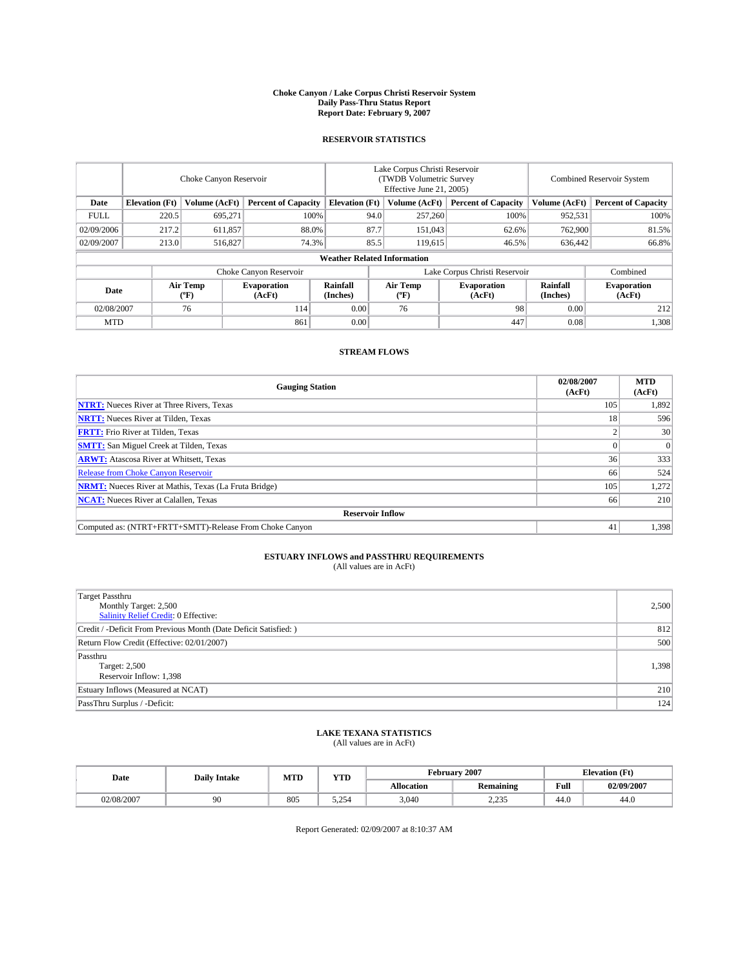#### **Choke Canyon / Lake Corpus Christi Reservoir System Daily Pass-Thru Status Report Report Date: February 9, 2007**

### **RESERVOIR STATISTICS**

|             | Choke Canyon Reservoir                                               |                  |                              |                                    | Lake Corpus Christi Reservoir<br>(TWDB Volumetric Survey<br>Effective June 21, 2005) |                            |                               |                            | Combined Reservoir System    |  |  |
|-------------|----------------------------------------------------------------------|------------------|------------------------------|------------------------------------|--------------------------------------------------------------------------------------|----------------------------|-------------------------------|----------------------------|------------------------------|--|--|
| Date        | <b>Elevation</b> (Ft)<br>Volume (AcFt)<br><b>Percent of Capacity</b> |                  | <b>Elevation</b> (Ft)        |                                    | Volume (AcFt)                                                                        | <b>Percent of Capacity</b> | Volume (AcFt)                 | <b>Percent of Capacity</b> |                              |  |  |
| <b>FULL</b> | 220.5                                                                | 695,271          | 100%                         |                                    | 94.0                                                                                 | 257,260                    | 100%                          | 952,531                    | 100%                         |  |  |
| 02/09/2006  | 217.2                                                                | 611,857          | 88.0%                        |                                    | 87.7                                                                                 | 151,043                    | 62.6%                         | 762,900                    | 81.5%                        |  |  |
| 02/09/2007  | 213.0                                                                | 516,827          | 74.3%                        |                                    | 85.5                                                                                 | 119,615                    | 46.5%                         | 636.442                    | 66.8%                        |  |  |
|             |                                                                      |                  |                              | <b>Weather Related Information</b> |                                                                                      |                            |                               |                            |                              |  |  |
|             |                                                                      |                  | Choke Canyon Reservoir       |                                    |                                                                                      |                            | Lake Corpus Christi Reservoir |                            | Combined                     |  |  |
| Date        |                                                                      | Air Temp<br>("F) | <b>Evaporation</b><br>(AcFt) | Rainfall<br>(Inches)               |                                                                                      | Air Temp<br>("F)           | <b>Evaporation</b><br>(AcFt)  | Rainfall<br>(Inches)       | <b>Evaporation</b><br>(AcFt) |  |  |
| 02/08/2007  |                                                                      | 76               | 114                          | 0.00                               |                                                                                      | 76                         | 98                            | 0.00                       | 212                          |  |  |
| <b>MTD</b>  |                                                                      |                  | 861                          | 0.00                               |                                                                                      |                            | 447                           | 0.08                       | 1,308                        |  |  |

## **STREAM FLOWS**

| <b>Gauging Station</b>                                       | 02/08/2007<br>(AcFt) | <b>MTD</b><br>(AcFt) |
|--------------------------------------------------------------|----------------------|----------------------|
| <b>NTRT:</b> Nueces River at Three Rivers, Texas             | 105                  | 1,892                |
| <b>NRTT:</b> Nueces River at Tilden, Texas                   | 18                   | 596                  |
| <b>FRTT:</b> Frio River at Tilden, Texas                     |                      | 30                   |
| <b>SMTT:</b> San Miguel Creek at Tilden, Texas               |                      | 0                    |
| <b>ARWT:</b> Atascosa River at Whitsett, Texas               | 36                   | 333                  |
| <b>Release from Choke Canyon Reservoir</b>                   | 66                   | 524                  |
| <b>NRMT:</b> Nueces River at Mathis, Texas (La Fruta Bridge) | 105                  | 1,272                |
| <b>NCAT:</b> Nueces River at Calallen, Texas                 | 66                   | 210                  |
| <b>Reservoir Inflow</b>                                      |                      |                      |
| Computed as: (NTRT+FRTT+SMTT)-Release From Choke Canyon      | 41                   | 1,398                |

# **ESTUARY INFLOWS and PASSTHRU REQUIREMENTS**<br>(All values are in AcFt)

| <b>Target Passthru</b><br>Monthly Target: 2,500<br>Salinity Relief Credit: 0 Effective: | 2,500 |
|-----------------------------------------------------------------------------------------|-------|
| Credit / -Deficit From Previous Month (Date Deficit Satisfied: )                        | 812   |
| Return Flow Credit (Effective: 02/01/2007)                                              | 500   |
| Passthru<br>Target: 2,500<br>Reservoir Inflow: 1,398                                    | 1,398 |
| Estuary Inflows (Measured at NCAT)                                                      | 210   |
| PassThru Surplus / -Deficit:                                                            | 124   |

# **LAKE TEXANA STATISTICS** (All values are in AcFt)

|  | Date       | <b>Daily Intake</b> | <b>MTD</b> | <b>YTD</b>              | February 2007 |                  |                                         | <b>Elevation</b> (Ft) |
|--|------------|---------------------|------------|-------------------------|---------------|------------------|-----------------------------------------|-----------------------|
|  |            |                     |            |                         | Allocation    | <b>Remaining</b> | Full<br>the contract of the contract of | 02/09/2007            |
|  | 02/08/2007 | .                   | 805        | $\Delta$ $\tau$<br>---- | 3,040         | 225<br>ر رے د    | 44.0                                    | 44.0                  |

Report Generated: 02/09/2007 at 8:10:37 AM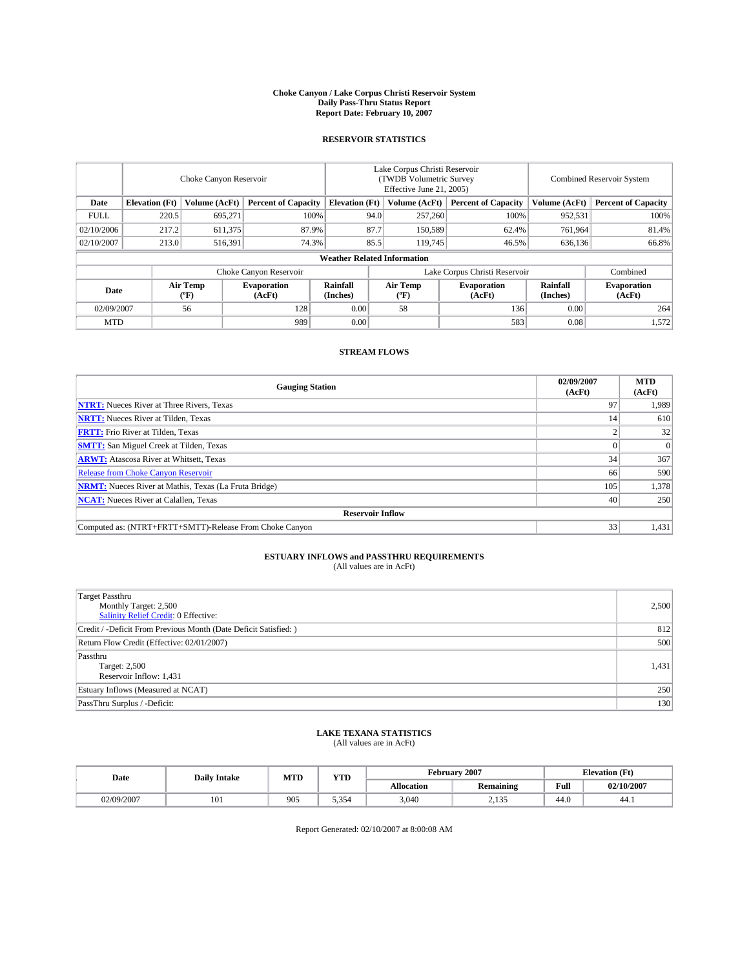#### **Choke Canyon / Lake Corpus Christi Reservoir System Daily Pass-Thru Status Report Report Date: February 10, 2007**

### **RESERVOIR STATISTICS**

|             | Choke Canyon Reservoir                                              |                  |                              |                       | Lake Corpus Christi Reservoir<br>(TWDB Volumetric Survey<br>Effective June 21, 2005) |                  |                              |                      | Combined Reservoir System    |  |  |  |
|-------------|---------------------------------------------------------------------|------------------|------------------------------|-----------------------|--------------------------------------------------------------------------------------|------------------|------------------------------|----------------------|------------------------------|--|--|--|
| Date        | <b>Elevation</b> (Ft)                                               | Volume (AcFt)    | <b>Percent of Capacity</b>   | <b>Elevation</b> (Ft) |                                                                                      | Volume (AcFt)    | <b>Percent of Capacity</b>   | Volume (AcFt)        | <b>Percent of Capacity</b>   |  |  |  |
| <b>FULL</b> | 220.5                                                               | 695,271          | 100%                         |                       | 94.0                                                                                 | 257,260          | 100%                         | 952,531              | 100%                         |  |  |  |
| 02/10/2006  | 217.2                                                               | 611,375          | 87.9%                        |                       | 87.7                                                                                 | 150,589          | 62.4%                        | 761,964              | 81.4%                        |  |  |  |
| 02/10/2007  | 213.0                                                               | 516,391          | 74.3%                        |                       | 85.5                                                                                 | 119.745          | 46.5%                        | 636,136              | 66.8%                        |  |  |  |
|             | <b>Weather Related Information</b>                                  |                  |                              |                       |                                                                                      |                  |                              |                      |                              |  |  |  |
|             | Choke Canyon Reservoir<br>Lake Corpus Christi Reservoir<br>Combined |                  |                              |                       |                                                                                      |                  |                              |                      |                              |  |  |  |
| Date        |                                                                     | Air Temp<br>(°F) | <b>Evaporation</b><br>(AcFt) | Rainfall<br>(Inches)  |                                                                                      | Air Temp<br>("F) | <b>Evaporation</b><br>(AcFt) | Rainfall<br>(Inches) | <b>Evaporation</b><br>(AcFt) |  |  |  |
| 02/09/2007  |                                                                     | 56               | 128                          | 0.00                  |                                                                                      | 58               | 136                          | 0.00                 | 264                          |  |  |  |
| <b>MTD</b>  |                                                                     |                  | 989                          | 0.00                  |                                                                                      |                  | 583                          | 0.08                 | 1,572                        |  |  |  |

## **STREAM FLOWS**

| <b>Gauging Station</b>                                       | 02/09/2007<br>(AcFt) | <b>MTD</b><br>(AcFt) |
|--------------------------------------------------------------|----------------------|----------------------|
| <b>NTRT:</b> Nueces River at Three Rivers, Texas             | 97                   | 1,989                |
| <b>NRTT:</b> Nueces River at Tilden, Texas                   | 14                   | 610                  |
| <b>FRTT:</b> Frio River at Tilden, Texas                     |                      | 32                   |
| <b>SMTT:</b> San Miguel Creek at Tilden, Texas               |                      | $\Omega$             |
| <b>ARWT:</b> Atascosa River at Whitsett, Texas               | 34                   | 367                  |
| <b>Release from Choke Canyon Reservoir</b>                   | 66                   | 590                  |
| <b>NRMT:</b> Nueces River at Mathis, Texas (La Fruta Bridge) | 105                  | 1,378                |
| <b>NCAT:</b> Nueces River at Calallen, Texas                 | 40                   | 250                  |
| <b>Reservoir Inflow</b>                                      |                      |                      |
| Computed as: (NTRT+FRTT+SMTT)-Release From Choke Canyon      | 33                   | 1,431                |

# **ESTUARY INFLOWS and PASSTHRU REQUIREMENTS**<br>(All values are in AcFt)

| <b>Target Passthru</b><br>Monthly Target: 2,500<br>Salinity Relief Credit: 0 Effective: | 2,500 |
|-----------------------------------------------------------------------------------------|-------|
| Credit / -Deficit From Previous Month (Date Deficit Satisfied: )                        | 812   |
| Return Flow Credit (Effective: 02/01/2007)                                              | 500   |
| Passthru<br>Target: 2,500<br>Reservoir Inflow: 1,431                                    | 1,431 |
| Estuary Inflows (Measured at NCAT)                                                      | 250   |
| PassThru Surplus / -Deficit:                                                            | 130   |

# **LAKE TEXANA STATISTICS** (All values are in AcFt)

|  | Date       | <b>Daily Intake</b> | <b>MTD</b> | <b>YTD</b>    |            | February 2007    |                                         | <b>Elevation</b> (Ft) |
|--|------------|---------------------|------------|---------------|------------|------------------|-----------------------------------------|-----------------------|
|  |            |                     |            |               | Allocation | Remaining        | Full<br>the contract of the contract of | 02/10/2007            |
|  | 02/09/2007 | 101                 | 905        | $\sim$<br>--- | 3,040      | 2.125<br>ر د ۲۰۱ | 44.0                                    | 44.1                  |

Report Generated: 02/10/2007 at 8:00:08 AM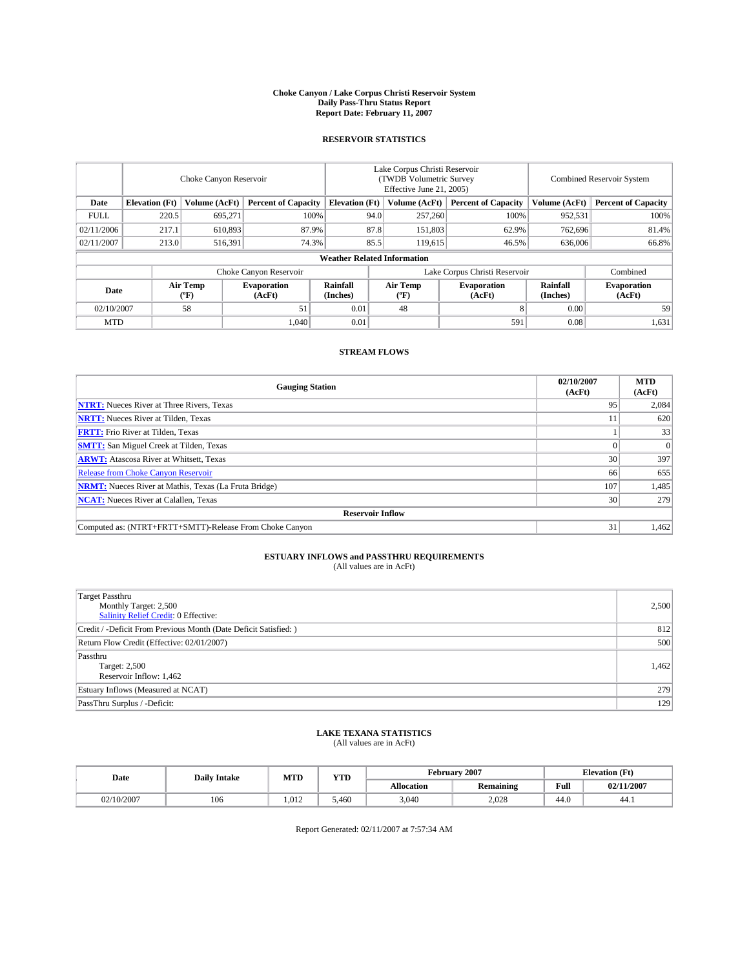#### **Choke Canyon / Lake Corpus Christi Reservoir System Daily Pass-Thru Status Report Report Date: February 11, 2007**

### **RESERVOIR STATISTICS**

|             | Choke Canyon Reservoir             |                  |                              |                       | Lake Corpus Christi Reservoir<br>(TWDB Volumetric Survey<br>Effective June 21, 2005) |                  |                               | <b>Combined Reservoir System</b> |                              |  |  |  |
|-------------|------------------------------------|------------------|------------------------------|-----------------------|--------------------------------------------------------------------------------------|------------------|-------------------------------|----------------------------------|------------------------------|--|--|--|
| Date        | <b>Elevation</b> (Ft)              | Volume (AcFt)    | <b>Percent of Capacity</b>   | <b>Elevation</b> (Ft) |                                                                                      | Volume (AcFt)    | <b>Percent of Capacity</b>    | Volume (AcFt)                    | <b>Percent of Capacity</b>   |  |  |  |
| <b>FULL</b> | 220.5                              | 695.271          | 100%                         |                       | 94.0                                                                                 | 257,260          | 100%                          | 952,531                          | 100%                         |  |  |  |
| 02/11/2006  | 217.1                              | 610.893          | 87.9%                        |                       | 87.8                                                                                 | 151,803          | 62.9%                         | 762.696                          | 81.4%                        |  |  |  |
| 02/11/2007  | 213.0                              | 516,391          | 74.3%                        |                       | 85.5                                                                                 | 119.615          | 46.5%                         | 636,006                          | 66.8%                        |  |  |  |
|             | <b>Weather Related Information</b> |                  |                              |                       |                                                                                      |                  |                               |                                  |                              |  |  |  |
|             |                                    |                  | Choke Canyon Reservoir       |                       |                                                                                      |                  | Lake Corpus Christi Reservoir |                                  | Combined                     |  |  |  |
| Date        |                                    | Air Temp<br>(°F) | <b>Evaporation</b><br>(AcFt) | Rainfall<br>(Inches)  |                                                                                      | Air Temp<br>("F) | <b>Evaporation</b><br>(AcFt)  | Rainfall<br>(Inches)             | <b>Evaporation</b><br>(AcFt) |  |  |  |
| 02/10/2007  |                                    | 58               | 51                           | 0.01                  |                                                                                      | 48               |                               | 0.00                             | 59                           |  |  |  |
| <b>MTD</b>  |                                    |                  | 1.040                        | 0.01                  |                                                                                      |                  | 591                           | 0.08                             | 1,631                        |  |  |  |

## **STREAM FLOWS**

| <b>Gauging Station</b>                                       | 02/10/2007<br>(AcFt) | <b>MTD</b><br>(AcFt) |
|--------------------------------------------------------------|----------------------|----------------------|
| <b>NTRT:</b> Nueces River at Three Rivers, Texas             | 95                   | 2,084                |
| <b>NRTT:</b> Nueces River at Tilden, Texas                   |                      | 620                  |
| <b>FRTT:</b> Frio River at Tilden, Texas                     |                      | 33                   |
| <b>SMTT:</b> San Miguel Creek at Tilden, Texas               |                      | $\Omega$             |
| <b>ARWT:</b> Atascosa River at Whitsett, Texas               | 30                   | 397                  |
| <b>Release from Choke Canyon Reservoir</b>                   | 66                   | 655                  |
| <b>NRMT:</b> Nueces River at Mathis, Texas (La Fruta Bridge) | 107                  | 1,485                |
| <b>NCAT:</b> Nueces River at Calallen, Texas                 | 30                   | 279                  |
| <b>Reservoir Inflow</b>                                      |                      |                      |
| Computed as: (NTRT+FRTT+SMTT)-Release From Choke Canyon      | 31                   | 1,462                |

# **ESTUARY INFLOWS and PASSTHRU REQUIREMENTS**<br>(All values are in AcFt)

| <b>Target Passthru</b><br>Monthly Target: 2,500<br>Salinity Relief Credit: 0 Effective: | 2,500 |
|-----------------------------------------------------------------------------------------|-------|
| Credit / -Deficit From Previous Month (Date Deficit Satisfied: )                        | 812   |
| Return Flow Credit (Effective: 02/01/2007)                                              | 500   |
| Passthru<br>Target: 2,500<br>Reservoir Inflow: 1,462                                    | 1,462 |
| Estuary Inflows (Measured at NCAT)                                                      | 279   |
| PassThru Surplus / -Deficit:                                                            | 129   |

### **LAKE TEXANA STATISTICS** (All values are in AcFt)

|  | Date       | <b>Daily Intake</b> | <b>YTD</b><br>MTD |       |            | February 2007 | <b>Elevation</b> (Ft)                 |            |
|--|------------|---------------------|-------------------|-------|------------|---------------|---------------------------------------|------------|
|  |            |                     |                   |       | Allocation | Remaining     | Full<br>the control of the control of | 02/11/2007 |
|  | 02/10/2007 | 106                 | .012              | 5.460 | 3,040      | 2.028         | 44.0                                  | 44.1       |

Report Generated: 02/11/2007 at 7:57:34 AM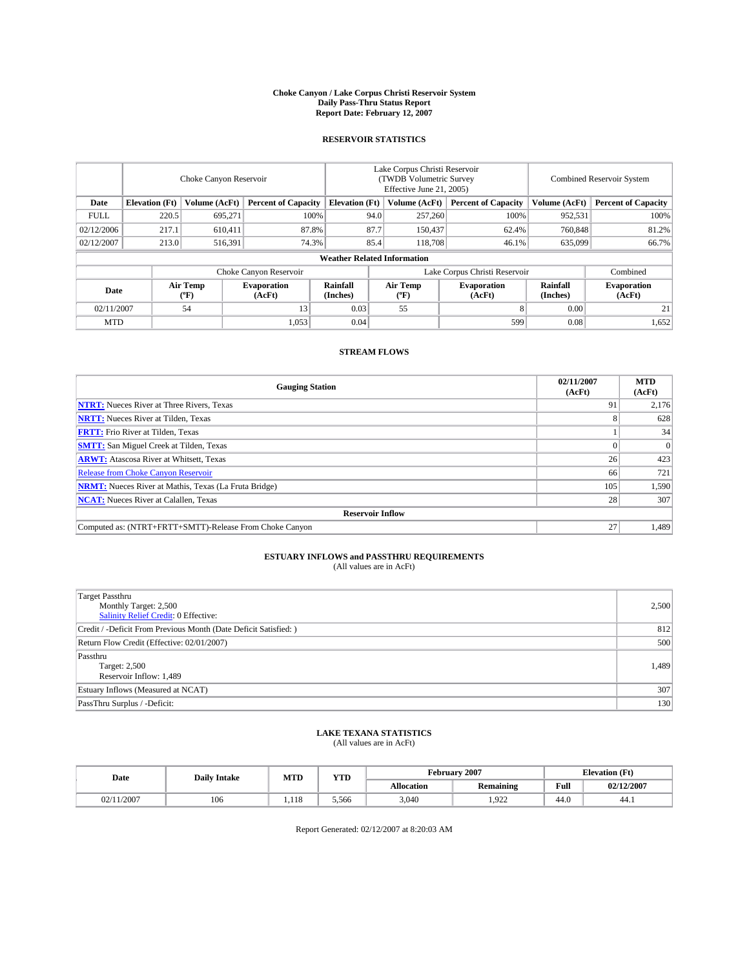#### **Choke Canyon / Lake Corpus Christi Reservoir System Daily Pass-Thru Status Report Report Date: February 12, 2007**

### **RESERVOIR STATISTICS**

|             | Choke Canyon Reservoir             |                  |                              |                               | Lake Corpus Christi Reservoir<br>(TWDB Volumetric Survey<br>Effective June 21, 2005) |                  |                              | Combined Reservoir System |                              |  |  |  |
|-------------|------------------------------------|------------------|------------------------------|-------------------------------|--------------------------------------------------------------------------------------|------------------|------------------------------|---------------------------|------------------------------|--|--|--|
| Date        | <b>Elevation</b> (Ft)              | Volume (AcFt)    | <b>Percent of Capacity</b>   | <b>Elevation</b> (Ft)         |                                                                                      | Volume (AcFt)    | <b>Percent of Capacity</b>   | Volume (AcFt)             | <b>Percent of Capacity</b>   |  |  |  |
| <b>FULL</b> | 220.5                              | 695.271          | 100%                         |                               | 94.0                                                                                 | 257,260          | 100%                         | 952,531                   | 100%                         |  |  |  |
| 02/12/2006  | 217.1                              | 610.411          | 87.8%                        |                               | 87.7                                                                                 | 150,437          | 62.4%                        | 760,848                   | 81.2%                        |  |  |  |
| 02/12/2007  | 213.0                              | 516,391          | 74.3%                        |                               | 85.4                                                                                 | 118,708          | 46.1%                        | 635,099                   | 66.7%                        |  |  |  |
|             | <b>Weather Related Information</b> |                  |                              |                               |                                                                                      |                  |                              |                           |                              |  |  |  |
|             |                                    |                  |                              | Lake Corpus Christi Reservoir |                                                                                      | Combined         |                              |                           |                              |  |  |  |
| Date        |                                    | Air Temp<br>(°F) | <b>Evaporation</b><br>(AcFt) | Rainfall<br>(Inches)          |                                                                                      | Air Temp<br>("F) | <b>Evaporation</b><br>(AcFt) | Rainfall<br>(Inches)      | <b>Evaporation</b><br>(AcFt) |  |  |  |
| 02/11/2007  |                                    | 54               | 13                           | 0.03                          |                                                                                      | 55               |                              | 0.00                      | 21                           |  |  |  |
| <b>MTD</b>  |                                    |                  | 1,053                        | 0.04                          |                                                                                      |                  | 599                          | 0.08                      | 1,652                        |  |  |  |

## **STREAM FLOWS**

| <b>Gauging Station</b>                                       | 02/11/2007<br>(AcFt) | <b>MTD</b><br>(AcFt) |
|--------------------------------------------------------------|----------------------|----------------------|
| <b>NTRT:</b> Nueces River at Three Rivers, Texas             | 91                   | 2,176                |
| <b>NRTT:</b> Nueces River at Tilden, Texas                   |                      | 628                  |
| <b>FRTT:</b> Frio River at Tilden, Texas                     |                      | 34                   |
| <b>SMTT:</b> San Miguel Creek at Tilden, Texas               |                      | $\Omega$             |
| <b>ARWT:</b> Atascosa River at Whitsett, Texas               | 26                   | 423                  |
| <b>Release from Choke Canyon Reservoir</b>                   | 66                   | 721                  |
| <b>NRMT:</b> Nueces River at Mathis, Texas (La Fruta Bridge) | 105                  | 1,590                |
| <b>NCAT:</b> Nueces River at Calallen, Texas                 | 28                   | 307                  |
| <b>Reservoir Inflow</b>                                      |                      |                      |
| Computed as: (NTRT+FRTT+SMTT)-Release From Choke Canyon      | 27                   | 1,489                |

# **ESTUARY INFLOWS and PASSTHRU REQUIREMENTS**<br>(All values are in AcFt)

| <b>Target Passthru</b><br>Monthly Target: 2,500<br>Salinity Relief Credit: 0 Effective: | 2,500 |
|-----------------------------------------------------------------------------------------|-------|
| Credit / -Deficit From Previous Month (Date Deficit Satisfied: )                        | 812   |
| Return Flow Credit (Effective: 02/01/2007)                                              | 500   |
| Passthru<br>Target: 2,500<br>Reservoir Inflow: 1,489                                    | 1,489 |
| Estuary Inflows (Measured at NCAT)                                                      | 307   |
| PassThru Surplus / -Deficit:                                                            | 130   |

### **LAKE TEXANA STATISTICS** (All values are in AcFt)

| Date           | <b>Daily Intake</b> | MTD          | YTD   |            | February 2007    | <b>Elevation</b> (Ft) |            |
|----------------|---------------------|--------------|-------|------------|------------------|-----------------------|------------|
|                |                     |              |       | Allocation | <b>Remaining</b> | Full                  | 02/12/2007 |
| 1/2007<br>02/1 | 106                 | 110<br>1.118 | 5.566 | 3,040      | 1.922            | 44.0                  | 44.1       |

Report Generated: 02/12/2007 at 8:20:03 AM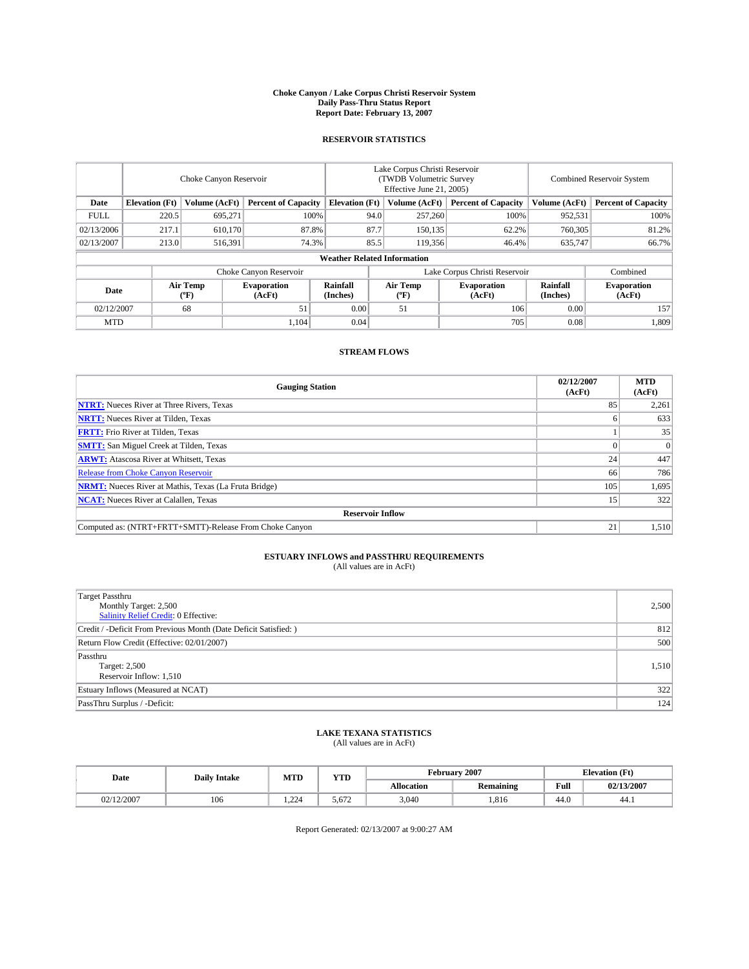#### **Choke Canyon / Lake Corpus Christi Reservoir System Daily Pass-Thru Status Report Report Date: February 13, 2007**

### **RESERVOIR STATISTICS**

|             | Choke Canyon Reservoir             |                  |                              |                       | Lake Corpus Christi Reservoir<br>(TWDB Volumetric Survey<br>Effective June 21, 2005) |                  |                               | Combined Reservoir System |                              |  |  |
|-------------|------------------------------------|------------------|------------------------------|-----------------------|--------------------------------------------------------------------------------------|------------------|-------------------------------|---------------------------|------------------------------|--|--|
| Date        | <b>Elevation</b> (Ft)              | Volume (AcFt)    | <b>Percent of Capacity</b>   | <b>Elevation</b> (Ft) |                                                                                      | Volume (AcFt)    | <b>Percent of Capacity</b>    | Volume (AcFt)             | <b>Percent of Capacity</b>   |  |  |
| <b>FULL</b> | 220.5                              | 695.271          | 100%                         |                       | 94.0                                                                                 | 257,260          | 100%                          | 952,531                   | 100%                         |  |  |
| 02/13/2006  | 217.1                              | 610.170          | 87.8%                        |                       | 87.7                                                                                 | 150,135          | 62.2%                         | 760,305                   | 81.2%                        |  |  |
| 02/13/2007  | 213.0                              | 516,391          | 74.3%                        |                       | 85.5                                                                                 | 119,356          | 46.4%                         | 635,747                   | 66.7%                        |  |  |
|             | <b>Weather Related Information</b> |                  |                              |                       |                                                                                      |                  |                               |                           |                              |  |  |
|             |                                    |                  | Choke Canyon Reservoir       |                       |                                                                                      |                  | Lake Corpus Christi Reservoir |                           | Combined                     |  |  |
| Date        |                                    | Air Temp<br>(°F) | <b>Evaporation</b><br>(AcFt) | Rainfall<br>(Inches)  |                                                                                      | Air Temp<br>("F) | <b>Evaporation</b><br>(AcFt)  | Rainfall<br>(Inches)      | <b>Evaporation</b><br>(AcFt) |  |  |
| 02/12/2007  |                                    | 68               | 51                           | 0.00                  |                                                                                      | 51               | 106                           | 0.00                      | 157                          |  |  |
| <b>MTD</b>  |                                    |                  | 1.104                        | 0.04                  |                                                                                      |                  | 705                           | 0.08                      | 1,809                        |  |  |

## **STREAM FLOWS**

| <b>Gauging Station</b>                                       | 02/12/2007<br>(AcFt) | <b>MTD</b><br>(AcFt) |
|--------------------------------------------------------------|----------------------|----------------------|
| <b>NTRT:</b> Nueces River at Three Rivers, Texas             | 85                   | 2,261                |
| <b>NRTT:</b> Nueces River at Tilden, Texas                   |                      | 633                  |
| <b>FRTT:</b> Frio River at Tilden, Texas                     |                      | 35                   |
| <b>SMTT:</b> San Miguel Creek at Tilden, Texas               |                      | $\Omega$             |
| <b>ARWT:</b> Atascosa River at Whitsett, Texas               | 24                   | 447                  |
| <b>Release from Choke Canyon Reservoir</b>                   | 66                   | 786                  |
| <b>NRMT:</b> Nueces River at Mathis, Texas (La Fruta Bridge) | 105                  | 1,695                |
| <b>NCAT:</b> Nueces River at Calallen, Texas                 | 15                   | 322                  |
| <b>Reservoir Inflow</b>                                      |                      |                      |
| Computed as: (NTRT+FRTT+SMTT)-Release From Choke Canyon      | 21                   | 1,510                |

# **ESTUARY INFLOWS and PASSTHRU REQUIREMENTS**<br>(All values are in AcFt)

| <b>Target Passthru</b><br>Monthly Target: 2,500<br>Salinity Relief Credit: 0 Effective: | 2,500 |
|-----------------------------------------------------------------------------------------|-------|
| Credit / -Deficit From Previous Month (Date Deficit Satisfied: )                        | 812   |
| Return Flow Credit (Effective: 02/01/2007)                                              | 500   |
| Passthru<br>Target: 2,500<br>Reservoir Inflow: 1,510                                    | 1,510 |
| Estuary Inflows (Measured at NCAT)                                                      | 322   |
| PassThru Surplus / -Deficit:                                                            | 124   |

### **LAKE TEXANA STATISTICS** (All values are in AcFt)

|  | Date       | <b>Daily Intake</b> | <b>MTD</b> | <b>YTD</b> |            | February 2007 |                                         | <b>Elevation</b> (Ft) |
|--|------------|---------------------|------------|------------|------------|---------------|-----------------------------------------|-----------------------|
|  |            |                     |            |            | Allocation | Remaining     | Full<br>the contract of the contract of | 02/13/2007            |
|  | 02/12/2007 | 106                 | 22         | 5.672      | 3,040      | 1.816         | 44.0                                    | 44.1                  |

Report Generated: 02/13/2007 at 9:00:27 AM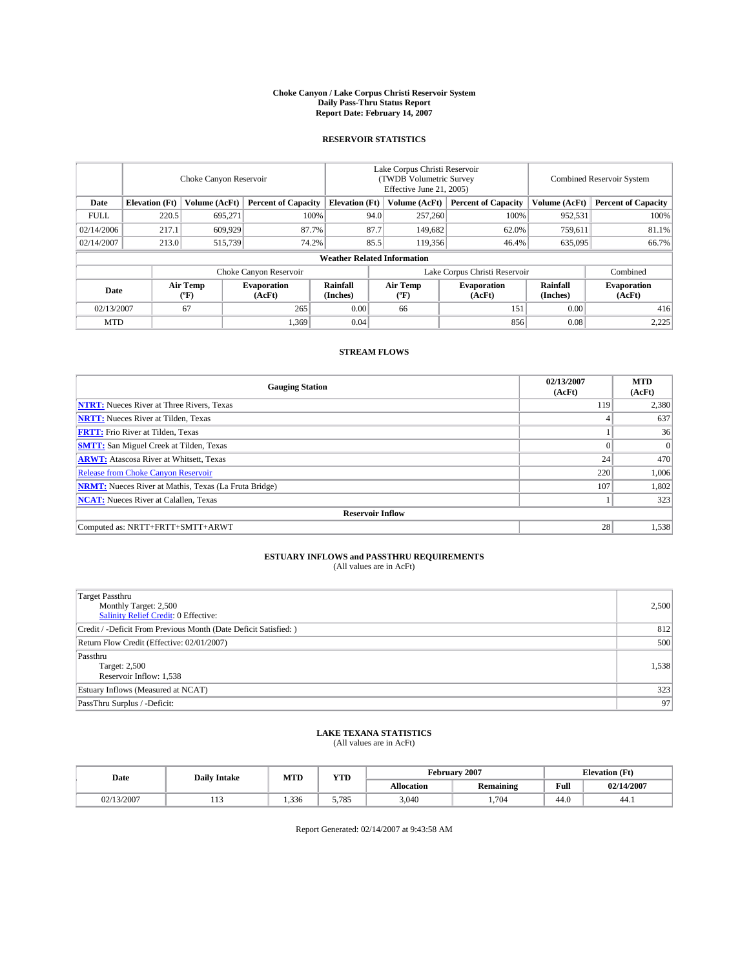#### **Choke Canyon / Lake Corpus Christi Reservoir System Daily Pass-Thru Status Report Report Date: February 14, 2007**

### **RESERVOIR STATISTICS**

|             | Choke Canyon Reservoir |                  |                              |                                    | Lake Corpus Christi Reservoir<br>(TWDB Volumetric Survey<br>Effective June 21, 2005) |                  |                               |                      | <b>Combined Reservoir System</b> |  |  |
|-------------|------------------------|------------------|------------------------------|------------------------------------|--------------------------------------------------------------------------------------|------------------|-------------------------------|----------------------|----------------------------------|--|--|
| Date        | <b>Elevation</b> (Ft)  | Volume (AcFt)    | <b>Percent of Capacity</b>   | <b>Elevation</b> (Ft)              |                                                                                      | Volume (AcFt)    | <b>Percent of Capacity</b>    | Volume (AcFt)        | <b>Percent of Capacity</b>       |  |  |
| <b>FULL</b> | 220.5                  | 695.271          | 100%                         |                                    | 94.0                                                                                 | 257,260          | 100%                          | 952,531              | 100%                             |  |  |
| 02/14/2006  | 217.1                  | 609.929          | 87.7%                        |                                    | 87.7                                                                                 | 149,682          | 62.0%                         | 759,611              | 81.1%                            |  |  |
| 02/14/2007  | 213.0                  | 515,739          | 74.2%                        |                                    | 85.5                                                                                 | 119,356          | 46.4%                         | 635,095              | 66.7%                            |  |  |
|             |                        |                  |                              | <b>Weather Related Information</b> |                                                                                      |                  |                               |                      |                                  |  |  |
|             |                        |                  | Choke Canyon Reservoir       |                                    |                                                                                      |                  | Lake Corpus Christi Reservoir |                      | Combined                         |  |  |
| Date        |                        | Air Temp<br>(°F) | <b>Evaporation</b><br>(AcFt) | Rainfall<br>(Inches)               |                                                                                      | Air Temp<br>("F) | <b>Evaporation</b><br>(AcFt)  | Rainfall<br>(Inches) | <b>Evaporation</b><br>(AcFt)     |  |  |
| 02/13/2007  |                        | 67               | 265                          | 0.00                               |                                                                                      | 66               | 151                           | 0.00                 | 416                              |  |  |
| <b>MTD</b>  |                        |                  | 1,369                        | 0.04                               |                                                                                      |                  | 856                           | 0.08                 | 2,225                            |  |  |

## **STREAM FLOWS**

| <b>Gauging Station</b>                                       | 02/13/2007<br>(AcFt) | <b>MTD</b><br>(AcFt) |
|--------------------------------------------------------------|----------------------|----------------------|
| <b>NTRT:</b> Nueces River at Three Rivers, Texas             | 119                  | 2,380                |
| <b>NRTT:</b> Nueces River at Tilden, Texas                   |                      | 637                  |
| <b>FRTT:</b> Frio River at Tilden, Texas                     |                      | 36                   |
| <b>SMTT:</b> San Miguel Creek at Tilden, Texas               | $\Omega$             | $\overline{0}$       |
| <b>ARWT:</b> Atascosa River at Whitsett, Texas               | 24                   | 470                  |
| <b>Release from Choke Canyon Reservoir</b>                   | 220                  | 1,006                |
| <b>NRMT:</b> Nueces River at Mathis, Texas (La Fruta Bridge) | 107                  | 1,802                |
| <b>NCAT:</b> Nueces River at Calallen, Texas                 |                      | 323                  |
| <b>Reservoir Inflow</b>                                      |                      |                      |
| Computed as: NRTT+FRTT+SMTT+ARWT                             | 28                   | 1,538                |

# **ESTUARY INFLOWS and PASSTHRU REQUIREMENTS**<br>(All values are in AcFt)

| <b>Target Passthru</b><br>Monthly Target: 2,500<br>Salinity Relief Credit: 0 Effective: | 2,500 |
|-----------------------------------------------------------------------------------------|-------|
| Credit / -Deficit From Previous Month (Date Deficit Satisfied: )                        | 812   |
| Return Flow Credit (Effective: 02/01/2007)                                              | 500   |
| Passthru<br>Target: 2,500<br>Reservoir Inflow: 1,538                                    | 1,538 |
| Estuary Inflows (Measured at NCAT)                                                      | 323   |
| PassThru Surplus / -Deficit:                                                            | 97    |

### **LAKE TEXANA STATISTICS** (All values are in AcFt)

| Date       | <b>Daily Intake</b> |      |             | <b>YTD</b><br><b>MTD</b> |                  |      | February 2007 | <b>Elevation</b> (Ft) |  |
|------------|---------------------|------|-------------|--------------------------|------------------|------|---------------|-----------------------|--|
|            |                     |      |             | Allocation               | <b>Remaining</b> | Full | 02/14/2007    |                       |  |
| 02/13/2007 | .                   | .336 | 5.785<br>J. | 3.040                    | 704              | 44.0 | 44.1          |                       |  |

Report Generated: 02/14/2007 at 9:43:58 AM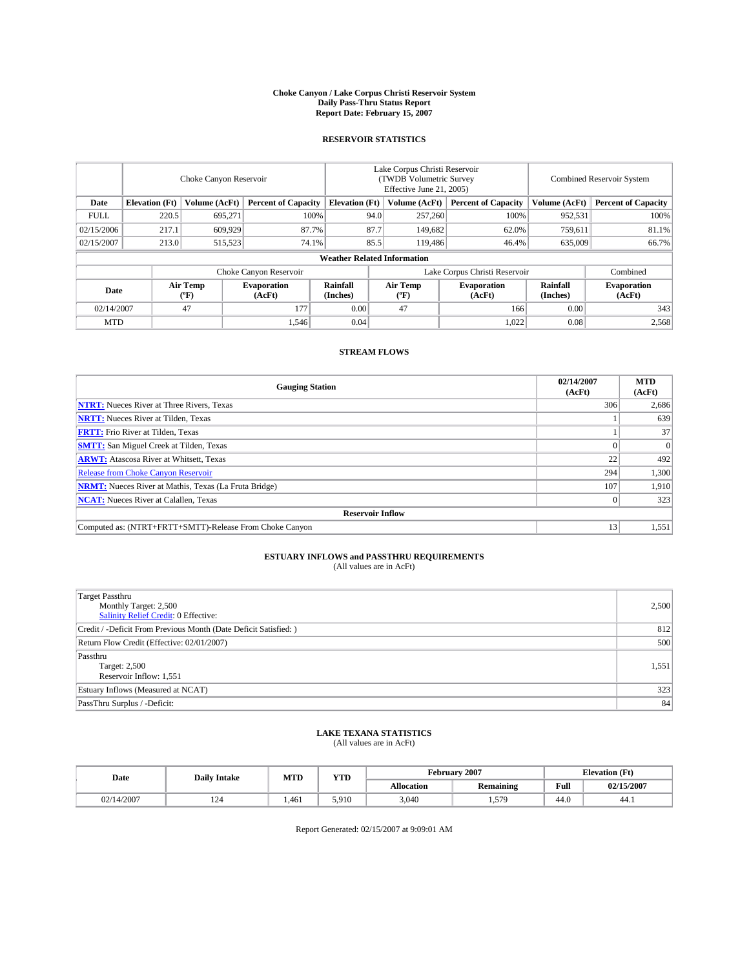#### **Choke Canyon / Lake Corpus Christi Reservoir System Daily Pass-Thru Status Report Report Date: February 15, 2007**

### **RESERVOIR STATISTICS**

|             | Choke Canyon Reservoir |                  |                              |                                    | Lake Corpus Christi Reservoir<br>(TWDB Volumetric Survey<br>Effective June 21, 2005) |                  |                               | <b>Combined Reservoir System</b> |                              |  |
|-------------|------------------------|------------------|------------------------------|------------------------------------|--------------------------------------------------------------------------------------|------------------|-------------------------------|----------------------------------|------------------------------|--|
| Date        | <b>Elevation</b> (Ft)  | Volume (AcFt)    | <b>Percent of Capacity</b>   | <b>Elevation</b> (Ft)              |                                                                                      | Volume (AcFt)    | <b>Percent of Capacity</b>    | Volume (AcFt)                    | <b>Percent of Capacity</b>   |  |
| <b>FULL</b> | 220.5                  | 695.271          | 100%                         |                                    | 94.0                                                                                 | 257,260          | 100%                          | 952,531                          | 100%                         |  |
| 02/15/2006  | 217.1                  | 609.929          | 87.7%                        |                                    | 87.7                                                                                 | 149,682          | 62.0%                         | 759,611                          | 81.1%                        |  |
| 02/15/2007  | 213.0                  | 515,523          | 74.1%                        |                                    | 85.5                                                                                 | 119,486          | 46.4%                         | 635,009                          | 66.7%                        |  |
|             |                        |                  |                              | <b>Weather Related Information</b> |                                                                                      |                  |                               |                                  |                              |  |
|             |                        |                  | Choke Canyon Reservoir       |                                    |                                                                                      |                  | Lake Corpus Christi Reservoir |                                  | Combined                     |  |
| Date        |                        | Air Temp<br>(°F) | <b>Evaporation</b><br>(AcFt) | Rainfall<br>(Inches)               |                                                                                      | Air Temp<br>("F) | <b>Evaporation</b><br>(AcFt)  | Rainfall<br>(Inches)             | <b>Evaporation</b><br>(AcFt) |  |
| 02/14/2007  |                        | 47               | 177                          | 0.00                               |                                                                                      | 47               | 166                           | 0.00                             | 343                          |  |
| <b>MTD</b>  |                        |                  | 1.546                        | 0.04                               |                                                                                      |                  | 1,022                         | 0.08                             | 2,568                        |  |

## **STREAM FLOWS**

| <b>Gauging Station</b>                                       | 02/14/2007<br>(AcFt) | <b>MTD</b><br>(AcFt) |
|--------------------------------------------------------------|----------------------|----------------------|
| <b>NTRT:</b> Nueces River at Three Rivers, Texas             | 306                  | 2,686                |
| <b>NRTT:</b> Nueces River at Tilden, Texas                   |                      | 639                  |
| <b>FRTT:</b> Frio River at Tilden, Texas                     |                      | 37                   |
| <b>SMTT:</b> San Miguel Creek at Tilden, Texas               |                      | $\Omega$             |
| <b>ARWT:</b> Atascosa River at Whitsett, Texas               | 22                   | 492                  |
| <b>Release from Choke Canyon Reservoir</b>                   | 294                  | 1,300                |
| <b>NRMT:</b> Nueces River at Mathis, Texas (La Fruta Bridge) | 107                  | 1,910                |
| <b>NCAT:</b> Nueces River at Calallen, Texas                 |                      | 323                  |
| <b>Reservoir Inflow</b>                                      |                      |                      |
| Computed as: (NTRT+FRTT+SMTT)-Release From Choke Canyon      | 13                   | 1,551                |

# **ESTUARY INFLOWS and PASSTHRU REQUIREMENTS**<br>(All values are in AcFt)

| <b>Target Passthru</b><br>Monthly Target: 2,500<br>Salinity Relief Credit: 0 Effective: | 2,500 |
|-----------------------------------------------------------------------------------------|-------|
| Credit / -Deficit From Previous Month (Date Deficit Satisfied: )                        | 812   |
| Return Flow Credit (Effective: 02/01/2007)                                              | 500   |
| Passthru<br>Target: 2,500<br>Reservoir Inflow: 1,551                                    | 1,551 |
| Estuary Inflows (Measured at NCAT)                                                      | 323   |
| PassThru Surplus / -Deficit:                                                            | 84    |

### **LAKE TEXANA STATISTICS** (All values are in AcFt)

| Date       | YTD<br>MTD<br><b>Daily Intake</b> |       |       |                   | February 2007    | <b>Elevation</b> (Ft) |            |  |
|------------|-----------------------------------|-------|-------|-------------------|------------------|-----------------------|------------|--|
|            |                                   |       |       | <b>Allocation</b> | <b>Remaining</b> | Full                  | 02/15/2007 |  |
| 02/14/2007 | 14 T                              | 1.461 | 5.910 | 3,040             | 579<br>1.913     | 44.0                  | 44.1       |  |

Report Generated: 02/15/2007 at 9:09:01 AM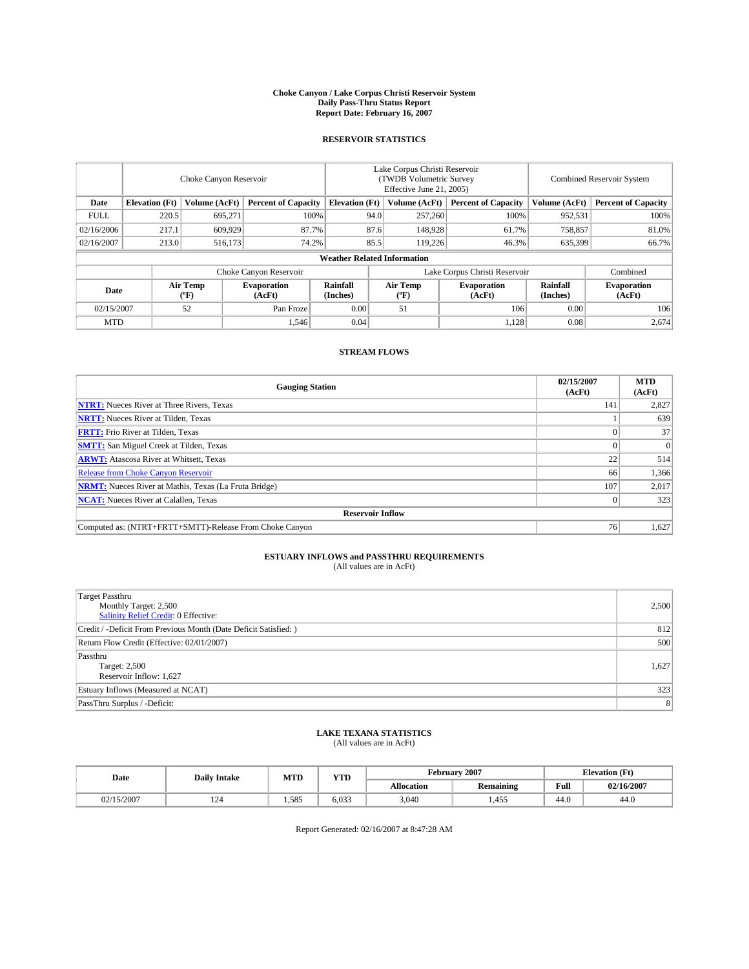#### **Choke Canyon / Lake Corpus Christi Reservoir System Daily Pass-Thru Status Report Report Date: February 16, 2007**

### **RESERVOIR STATISTICS**

|             | Choke Canyon Reservoir             |                  |                              |                             | Lake Corpus Christi Reservoir<br>(TWDB Volumetric Survey<br>Effective June 21, 2005) |                  |                               |                      | <b>Combined Reservoir System</b> |  |  |  |
|-------------|------------------------------------|------------------|------------------------------|-----------------------------|--------------------------------------------------------------------------------------|------------------|-------------------------------|----------------------|----------------------------------|--|--|--|
| Date        | <b>Elevation</b> (Ft)              | Volume (AcFt)    | <b>Percent of Capacity</b>   | <b>Elevation</b> (Ft)       |                                                                                      | Volume (AcFt)    | <b>Percent of Capacity</b>    | Volume (AcFt)        | <b>Percent of Capacity</b>       |  |  |  |
| <b>FULL</b> | 220.5                              | 695,271          | 100%                         |                             | 94.0                                                                                 | 257,260          | 100%                          | 952,531              | 100%                             |  |  |  |
| 02/16/2006  | 217.1                              | 609.929          |                              | 87.6<br>87.7%               |                                                                                      | 148,928          | 61.7%                         | 758,857              | 81.0%                            |  |  |  |
| 02/16/2007  | 213.0                              | 516,173          | 74.2%                        |                             | 85.5                                                                                 | 119.226          | 46.3%                         | 635,399              | 66.7%                            |  |  |  |
|             | <b>Weather Related Information</b> |                  |                              |                             |                                                                                      |                  |                               |                      |                                  |  |  |  |
|             |                                    |                  | Choke Canyon Reservoir       |                             |                                                                                      |                  | Lake Corpus Christi Reservoir |                      | Combined                         |  |  |  |
| Date        |                                    | Air Temp<br>("F) | <b>Evaporation</b><br>(AcFt) | <b>Rainfall</b><br>(Inches) |                                                                                      | Air Temp<br>("F) | <b>Evaporation</b><br>(AcFt)  | Rainfall<br>(Inches) | <b>Evaporation</b><br>(AcFt)     |  |  |  |
| 02/15/2007  |                                    | 52               | Pan Froze                    | 0.00                        |                                                                                      | 51               | 106                           | 0.00                 | 106                              |  |  |  |
| <b>MTD</b>  |                                    |                  | 1,546                        | 0.04                        |                                                                                      |                  | 1,128                         | 0.08                 | 2,674                            |  |  |  |

## **STREAM FLOWS**

| <b>Gauging Station</b>                                       | 02/15/2007<br>(AcFt) | <b>MTD</b><br>(AcFt) |
|--------------------------------------------------------------|----------------------|----------------------|
| <b>NTRT:</b> Nueces River at Three Rivers, Texas             | 141                  | 2,827                |
| <b>NRTT:</b> Nueces River at Tilden, Texas                   |                      | 639                  |
| <b>FRTT:</b> Frio River at Tilden, Texas                     |                      | 37                   |
| <b>SMTT:</b> San Miguel Creek at Tilden, Texas               |                      | $\overline{0}$       |
| <b>ARWT:</b> Atascosa River at Whitsett, Texas               | 22                   | 514                  |
| <b>Release from Choke Canyon Reservoir</b>                   | 66                   | 1,366                |
| <b>NRMT:</b> Nueces River at Mathis, Texas (La Fruta Bridge) | 107                  | 2,017                |
| <b>NCAT:</b> Nueces River at Calallen, Texas                 |                      | 323                  |
| <b>Reservoir Inflow</b>                                      |                      |                      |
| Computed as: (NTRT+FRTT+SMTT)-Release From Choke Canyon      | 76                   | 1,627                |

# **ESTUARY INFLOWS and PASSTHRU REQUIREMENTS**<br>(All values are in AcFt)

| <b>Target Passthru</b><br>Monthly Target: 2,500<br>Salinity Relief Credit: 0 Effective: | 2,500          |
|-----------------------------------------------------------------------------------------|----------------|
| Credit / -Deficit From Previous Month (Date Deficit Satisfied: )                        | 812            |
| Return Flow Credit (Effective: 02/01/2007)                                              | 500            |
| Passthru<br>Target: 2,500<br>Reservoir Inflow: 1,627                                    | 1,627          |
| Estuary Inflows (Measured at NCAT)                                                      | 323            |
| PassThru Surplus / -Deficit:                                                            | 8 <sup>1</sup> |

### **LAKE TEXANA STATISTICS** (All values are in AcFt)

|  | Date       | <b>Daily Intake</b> | <b>MTD</b> | <b>YTD</b> | February 2007 |           |      | <b>Elevation</b> (Ft) |
|--|------------|---------------------|------------|------------|---------------|-----------|------|-----------------------|
|  |            |                     |            |            | Allocation    | Remaining | Full | 02/16/2007            |
|  | 02/15/2007 | 124                 | 1.585      | 6.033      | 3,040         | 1.455     | 44.0 | 44.0                  |

Report Generated: 02/16/2007 at 8:47:28 AM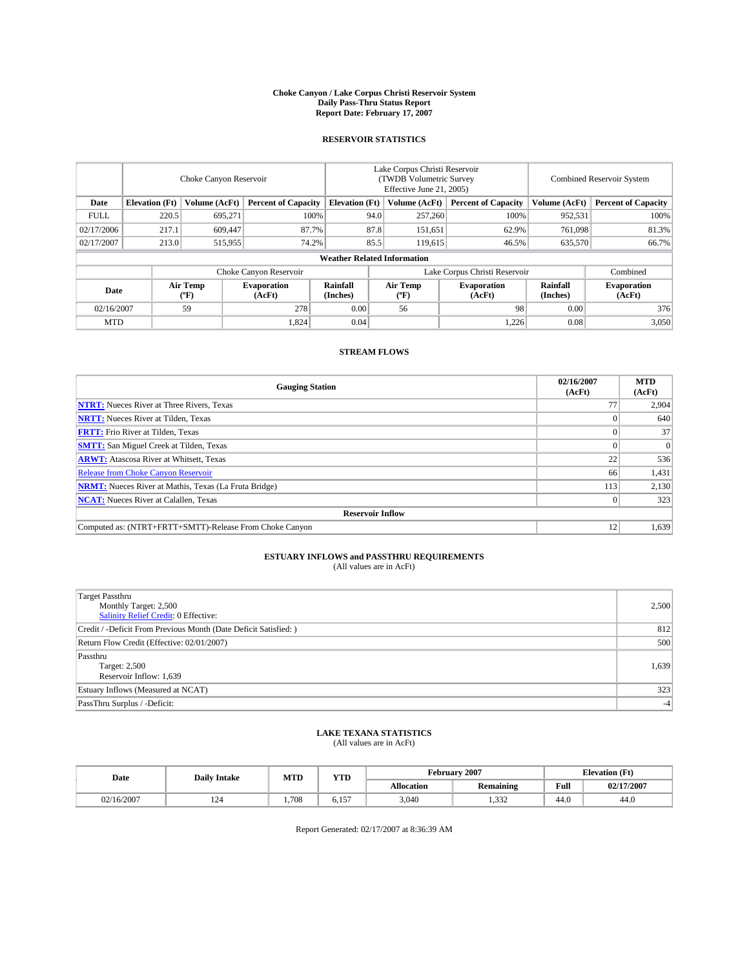#### **Choke Canyon / Lake Corpus Christi Reservoir System Daily Pass-Thru Status Report Report Date: February 17, 2007**

### **RESERVOIR STATISTICS**

|                                                                              | Choke Canyon Reservoir             |                       |                              |                      | Lake Corpus Christi Reservoir<br>(TWDB Volumetric Survey<br>Effective June 21, 2005) |                  |                               |                      | Combined Reservoir System    |  |  |
|------------------------------------------------------------------------------|------------------------------------|-----------------------|------------------------------|----------------------|--------------------------------------------------------------------------------------|------------------|-------------------------------|----------------------|------------------------------|--|--|
| Date<br><b>Elevation</b> (Ft)<br>Volume (AcFt)<br><b>Percent of Capacity</b> |                                    | <b>Elevation</b> (Ft) |                              | Volume (AcFt)        | <b>Percent of Capacity</b>                                                           | Volume (AcFt)    | <b>Percent of Capacity</b>    |                      |                              |  |  |
| <b>FULL</b>                                                                  | 220.5                              | 695,271               | 100%                         |                      | 94.0                                                                                 | 257,260          | 100%                          | 952,531              | 100%                         |  |  |
| 02/17/2006                                                                   | 217.1                              | 609,447               | 87.7%                        |                      | 87.8                                                                                 | 151,651          | 62.9%                         | 761,098              | 81.3%                        |  |  |
| 02/17/2007                                                                   | 213.0                              | 515,955               | 74.2%                        |                      | 85.5                                                                                 | 119,615          | 46.5%                         | 635,570              | 66.7%                        |  |  |
|                                                                              | <b>Weather Related Information</b> |                       |                              |                      |                                                                                      |                  |                               |                      |                              |  |  |
|                                                                              |                                    |                       | Choke Canyon Reservoir       |                      |                                                                                      |                  | Lake Corpus Christi Reservoir |                      | Combined                     |  |  |
| Date                                                                         |                                    | Air Temp<br>(°F)      | <b>Evaporation</b><br>(AcFt) | Rainfall<br>(Inches) |                                                                                      | Air Temp<br>("F) | <b>Evaporation</b><br>(AcFt)  | Rainfall<br>(Inches) | <b>Evaporation</b><br>(AcFt) |  |  |
| 02/16/2007                                                                   |                                    | 59                    | 278                          | 0.00                 |                                                                                      | 56               | 98                            | 0.00                 | 376                          |  |  |
| <b>MTD</b>                                                                   |                                    |                       | 1,824                        | 0.04                 |                                                                                      |                  | 1,226                         | 0.08                 | 3,050                        |  |  |

## **STREAM FLOWS**

| <b>Gauging Station</b>                                       | 02/16/2007<br>(AcFt) | <b>MTD</b><br>(AcFt) |
|--------------------------------------------------------------|----------------------|----------------------|
| <b>NTRT:</b> Nueces River at Three Rivers, Texas             |                      | 2,904                |
| <b>NRTT:</b> Nueces River at Tilden, Texas                   |                      | 640                  |
| <b>FRTT:</b> Frio River at Tilden, Texas                     |                      | 37                   |
| <b>SMTT:</b> San Miguel Creek at Tilden, Texas               |                      | $\Omega$             |
| <b>ARWT:</b> Atascosa River at Whitsett, Texas               | 22                   | 536                  |
| <b>Release from Choke Canyon Reservoir</b>                   | 66                   | 1,431                |
| <b>NRMT:</b> Nueces River at Mathis, Texas (La Fruta Bridge) | 113                  | 2,130                |
| <b>NCAT:</b> Nueces River at Calallen, Texas                 |                      | 323                  |
| <b>Reservoir Inflow</b>                                      |                      |                      |
| Computed as: (NTRT+FRTT+SMTT)-Release From Choke Canyon      | 12                   | 1,639                |

# **ESTUARY INFLOWS and PASSTHRU REQUIREMENTS**<br>(All values are in AcFt)

| <b>Target Passthru</b><br>Monthly Target: 2,500<br>Salinity Relief Credit: 0 Effective: | 2,500 |
|-----------------------------------------------------------------------------------------|-------|
| Credit / -Deficit From Previous Month (Date Deficit Satisfied: )                        | 812   |
| Return Flow Credit (Effective: 02/01/2007)                                              | 500   |
| Passthru<br>Target: 2,500<br>Reservoir Inflow: 1,639                                    | 1,639 |
| Estuary Inflows (Measured at NCAT)                                                      | 323   |
| PassThru Surplus / -Deficit:                                                            | $-4$  |

### **LAKE TEXANA STATISTICS** (All values are in AcFt)

| Date       | <b>Daily Intake</b> | MTD  | <b>YTD</b>                   |            | February 2007    |                                         | <b>Elevation</b> (Ft) |
|------------|---------------------|------|------------------------------|------------|------------------|-----------------------------------------|-----------------------|
|            |                     |      |                              | Allocation | <b>Remaining</b> | Full<br>the contract of the contract of | 02/17/2007            |
| 02/16/2007 | 14 T                | .708 | $\sim$ $\sim$ $\sim$<br>0.1J | 3,040      | 1.332            | 44.0                                    | 44.0                  |

Report Generated: 02/17/2007 at 8:36:39 AM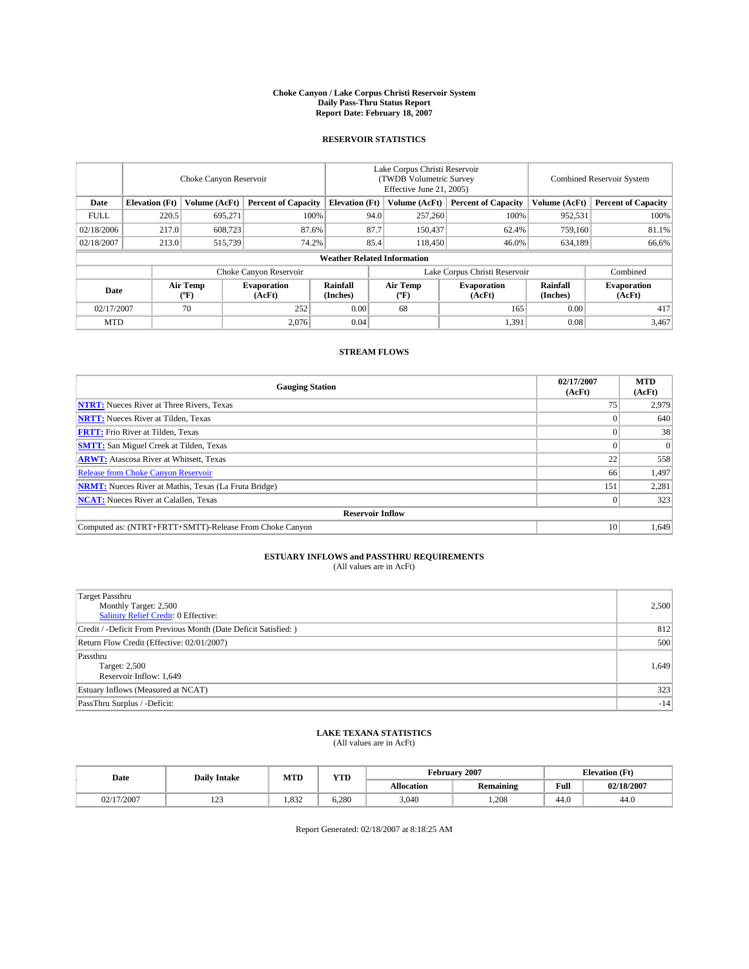#### **Choke Canyon / Lake Corpus Christi Reservoir System Daily Pass-Thru Status Report Report Date: February 18, 2007**

### **RESERVOIR STATISTICS**

|             | Choke Canyon Reservoir                                               |                  |                              |                      | Lake Corpus Christi Reservoir<br>(TWDB Volumetric Survey<br>Effective June 21, 2005) |                            |                               |                            | Combined Reservoir System    |  |  |
|-------------|----------------------------------------------------------------------|------------------|------------------------------|----------------------|--------------------------------------------------------------------------------------|----------------------------|-------------------------------|----------------------------|------------------------------|--|--|
| Date        | <b>Elevation</b> (Ft)<br>Volume (AcFt)<br><b>Percent of Capacity</b> |                  | <b>Elevation</b> (Ft)        |                      | Volume (AcFt)                                                                        | <b>Percent of Capacity</b> | Volume (AcFt)                 | <b>Percent of Capacity</b> |                              |  |  |
| <b>FULL</b> | 220.5                                                                | 695.271          | 100%                         |                      | 94.0                                                                                 | 257,260                    | 100%                          | 952,531                    | 100%                         |  |  |
| 02/18/2006  | 217.0                                                                | 608,723          | 87.6%                        |                      | 87.7                                                                                 | 150,437                    | 62.4%                         | 759,160                    | 81.1%                        |  |  |
| 02/18/2007  | 213.0                                                                | 515,739          | 74.2%                        |                      | 85.4                                                                                 | 118,450                    | 46.0%                         | 634,189                    | 66.6%                        |  |  |
|             | <b>Weather Related Information</b>                                   |                  |                              |                      |                                                                                      |                            |                               |                            |                              |  |  |
|             |                                                                      |                  | Choke Canyon Reservoir       |                      |                                                                                      |                            | Lake Corpus Christi Reservoir |                            | Combined                     |  |  |
| Date        |                                                                      | Air Temp<br>(°F) | <b>Evaporation</b><br>(AcFt) | Rainfall<br>(Inches) |                                                                                      | Air Temp<br>("F)           | <b>Evaporation</b><br>(AcFt)  | Rainfall<br>(Inches)       | <b>Evaporation</b><br>(AcFt) |  |  |
| 02/17/2007  |                                                                      | 70               | 252                          | 0.00                 |                                                                                      | 68                         | 165                           | 0.00                       | 417                          |  |  |
| <b>MTD</b>  |                                                                      |                  | 2,076                        | 0.04                 |                                                                                      |                            | 1,391                         | 0.08                       | 3,467                        |  |  |

## **STREAM FLOWS**

| <b>Gauging Station</b>                                       | 02/17/2007<br>(AcFt) | <b>MTD</b><br>(AcFt) |
|--------------------------------------------------------------|----------------------|----------------------|
| <b>NTRT:</b> Nueces River at Three Rivers, Texas             | 75                   | 2,979                |
| <b>NRTT:</b> Nueces River at Tilden, Texas                   |                      | 640                  |
| <b>FRTT:</b> Frio River at Tilden, Texas                     |                      | 38                   |
| <b>SMTT:</b> San Miguel Creek at Tilden, Texas               |                      | $\Omega$             |
| <b>ARWT:</b> Atascosa River at Whitsett, Texas               | 22                   | 558                  |
| <b>Release from Choke Canyon Reservoir</b>                   | 66                   | 1,497                |
| <b>NRMT:</b> Nueces River at Mathis, Texas (La Fruta Bridge) | 151                  | 2,281                |
| <b>NCAT:</b> Nueces River at Calallen, Texas                 |                      | 323                  |
| <b>Reservoir Inflow</b>                                      |                      |                      |
| Computed as: (NTRT+FRTT+SMTT)-Release From Choke Canyon      | 10                   | 1,649                |

# **ESTUARY INFLOWS and PASSTHRU REQUIREMENTS**<br>(All values are in AcFt)

| <b>Target Passthru</b><br>Monthly Target: 2,500<br>Salinity Relief Credit: 0 Effective: | 2,500 |
|-----------------------------------------------------------------------------------------|-------|
| Credit / -Deficit From Previous Month (Date Deficit Satisfied: )                        | 812   |
| Return Flow Credit (Effective: 02/01/2007)                                              | 500   |
| Passthru<br>Target: 2,500<br>Reservoir Inflow: 1,649                                    | 1,649 |
| Estuary Inflows (Measured at NCAT)                                                      | 323   |
| PassThru Surplus / -Deficit:                                                            | $-14$ |

### **LAKE TEXANA STATISTICS** (All values are in AcFt)

|  | Date       | <b>Daily Intake</b> | MTD   | <b>YTD</b> | February 2007 |           |                                       | <b>Elevation (Ft)</b> |
|--|------------|---------------------|-------|------------|---------------|-----------|---------------------------------------|-----------------------|
|  |            |                     |       |            | Allocation    | Remaining | Full<br>the control of the control of | 02/18/2007            |
|  | 02/17/2007 | $\sim$<br>رے 1      | 1.832 | 6.280      | 3,040         | 1.208     | 44.0                                  | 44.0                  |

Report Generated: 02/18/2007 at 8:18:25 AM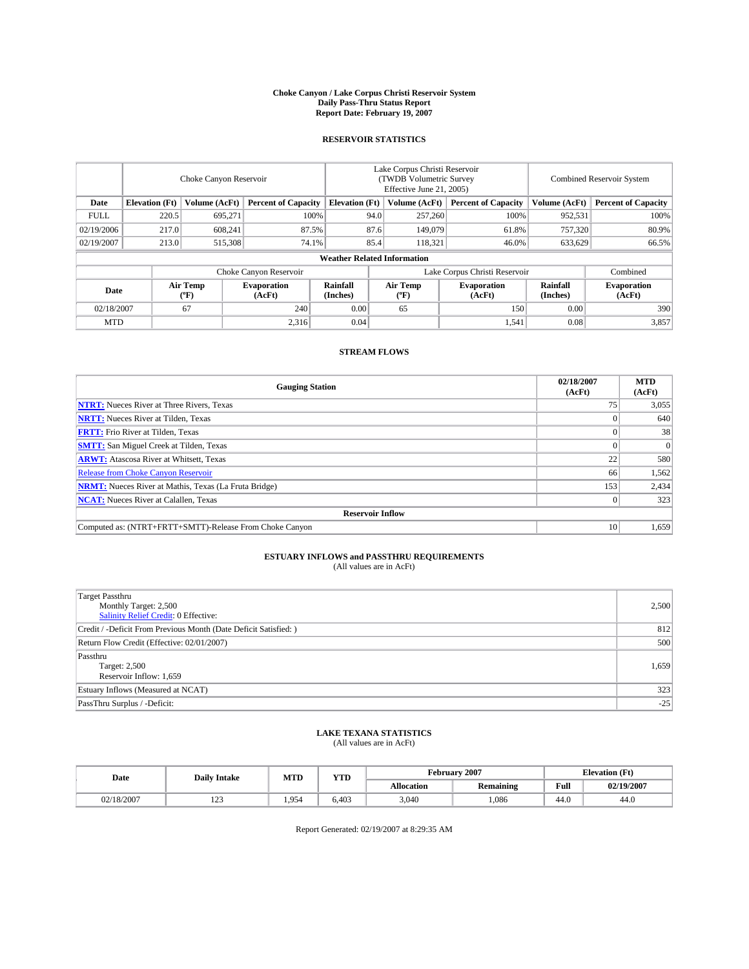#### **Choke Canyon / Lake Corpus Christi Reservoir System Daily Pass-Thru Status Report Report Date: February 19, 2007**

### **RESERVOIR STATISTICS**

|             | Choke Canyon Reservoir             |                  |                              |                       | Lake Corpus Christi Reservoir<br>(TWDB Volumetric Survey<br>Effective June 21, 2005) |                  |                               | <b>Combined Reservoir System</b> |                              |  |  |  |
|-------------|------------------------------------|------------------|------------------------------|-----------------------|--------------------------------------------------------------------------------------|------------------|-------------------------------|----------------------------------|------------------------------|--|--|--|
| Date        | <b>Elevation</b> (Ft)              | Volume (AcFt)    | <b>Percent of Capacity</b>   | <b>Elevation</b> (Ft) |                                                                                      | Volume (AcFt)    | <b>Percent of Capacity</b>    | Volume (AcFt)                    | <b>Percent of Capacity</b>   |  |  |  |
| <b>FULL</b> | 220.5                              | 695.271          | 100%                         |                       | 94.0                                                                                 | 257,260          | 100%                          | 952,531                          | 100%                         |  |  |  |
| 02/19/2006  | 217.0                              | 608,241          | 87.5%                        |                       | 87.6                                                                                 | 149,079          | 61.8%                         | 757,320                          | 80.9%                        |  |  |  |
| 02/19/2007  | 213.0                              | 515,308          | 74.1%                        |                       | 85.4                                                                                 | 118,321          | 46.0%                         | 633,629                          | 66.5%                        |  |  |  |
|             | <b>Weather Related Information</b> |                  |                              |                       |                                                                                      |                  |                               |                                  |                              |  |  |  |
|             |                                    |                  | Choke Canyon Reservoir       |                       |                                                                                      |                  | Lake Corpus Christi Reservoir |                                  | Combined                     |  |  |  |
| Date        |                                    | Air Temp<br>(°F) | <b>Evaporation</b><br>(AcFt) | Rainfall<br>(Inches)  |                                                                                      | Air Temp<br>("F) | <b>Evaporation</b><br>(AcFt)  | Rainfall<br>(Inches)             | <b>Evaporation</b><br>(AcFt) |  |  |  |
| 02/18/2007  |                                    | 67               | 240                          | 0.00                  |                                                                                      | 65               | 150                           | 0.00                             | 390                          |  |  |  |
| <b>MTD</b>  |                                    |                  | 2,316                        | 0.04                  |                                                                                      |                  | 1,541                         | 0.08                             | 3,857                        |  |  |  |

## **STREAM FLOWS**

| <b>Gauging Station</b>                                       | 02/18/2007<br>(AcFt) | <b>MTD</b><br>(AcFt) |
|--------------------------------------------------------------|----------------------|----------------------|
| <b>NTRT:</b> Nueces River at Three Rivers, Texas             | 75                   | 3,055                |
| <b>NRTT:</b> Nueces River at Tilden, Texas                   |                      | 640                  |
| <b>FRTT:</b> Frio River at Tilden, Texas                     |                      | 38                   |
| <b>SMTT:</b> San Miguel Creek at Tilden, Texas               |                      | $\Omega$             |
| <b>ARWT:</b> Atascosa River at Whitsett, Texas               | 22                   | 580                  |
| <b>Release from Choke Canyon Reservoir</b>                   | 66                   | 1,562                |
| <b>NRMT:</b> Nueces River at Mathis, Texas (La Fruta Bridge) | 153                  | 2,434                |
| <b>NCAT:</b> Nueces River at Calallen, Texas                 |                      | 323                  |
| <b>Reservoir Inflow</b>                                      |                      |                      |
| Computed as: (NTRT+FRTT+SMTT)-Release From Choke Canyon      | 10                   | 1,659                |

# **ESTUARY INFLOWS and PASSTHRU REQUIREMENTS**<br>(All values are in AcFt)

| <b>Target Passthru</b><br>Monthly Target: 2,500<br>Salinity Relief Credit: 0 Effective: | 2,500 |
|-----------------------------------------------------------------------------------------|-------|
| Credit / -Deficit From Previous Month (Date Deficit Satisfied: )                        | 812   |
| Return Flow Credit (Effective: 02/01/2007)                                              | 500   |
| Passthru<br>Target: 2,500<br>Reservoir Inflow: 1,659                                    | 1,659 |
| Estuary Inflows (Measured at NCAT)                                                      | 323   |
| PassThru Surplus / -Deficit:                                                            | $-25$ |

### **LAKE TEXANA STATISTICS** (All values are in AcFt)

|  | Date       | <b>Daily Intake</b> | MTD   | <b>YTD</b> |            | February 2007 |      | <b>Elevation (Ft)</b> |  |
|--|------------|---------------------|-------|------------|------------|---------------|------|-----------------------|--|
|  |            |                     |       |            | Allocation | Remaining     | Full | 02/19/2007            |  |
|  | 02/18/2007 | $\sim$<br>رے 1      | 1.954 | 6.403      | 3,040      | .086          | 44.0 | 44.0                  |  |

Report Generated: 02/19/2007 at 8:29:35 AM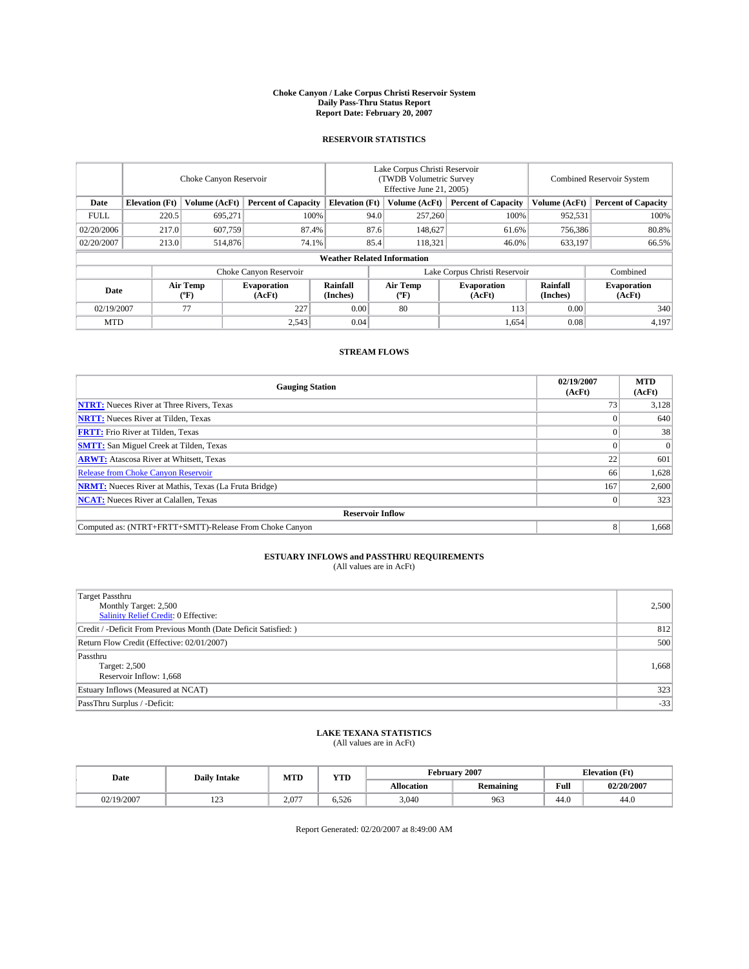#### **Choke Canyon / Lake Corpus Christi Reservoir System Daily Pass-Thru Status Report Report Date: February 20, 2007**

### **RESERVOIR STATISTICS**

|             | Choke Canyon Reservoir             |                  |                              |                       | Lake Corpus Christi Reservoir<br>(TWDB Volumetric Survey<br>Effective June 21, 2005) |                  |                               |                      | <b>Combined Reservoir System</b> |  |  |  |
|-------------|------------------------------------|------------------|------------------------------|-----------------------|--------------------------------------------------------------------------------------|------------------|-------------------------------|----------------------|----------------------------------|--|--|--|
| Date        | <b>Elevation</b> (Ft)              | Volume (AcFt)    | <b>Percent of Capacity</b>   | <b>Elevation</b> (Ft) |                                                                                      | Volume (AcFt)    | <b>Percent of Capacity</b>    | Volume (AcFt)        | <b>Percent of Capacity</b>       |  |  |  |
| <b>FULL</b> | 220.5                              | 695.271          | 100%                         |                       | 94.0                                                                                 | 257,260          | 100%                          | 952,531              | 100%                             |  |  |  |
| 02/20/2006  | 217.0                              | 607,759          | 87.4%                        |                       | 87.6                                                                                 | 148,627          | 61.6%                         | 756,386              | 80.8%                            |  |  |  |
| 02/20/2007  | 213.0                              | 514,876          | 74.1%                        |                       | 85.4                                                                                 | 118,321          | 46.0%                         | 633,197              | 66.5%                            |  |  |  |
|             | <b>Weather Related Information</b> |                  |                              |                       |                                                                                      |                  |                               |                      |                                  |  |  |  |
|             |                                    |                  | Choke Canyon Reservoir       |                       |                                                                                      |                  | Lake Corpus Christi Reservoir |                      | Combined                         |  |  |  |
| Date        |                                    | Air Temp<br>(°F) | <b>Evaporation</b><br>(AcFt) | Rainfall<br>(Inches)  |                                                                                      | Air Temp<br>("F) | <b>Evaporation</b><br>(AcFt)  | Rainfall<br>(Inches) | <b>Evaporation</b><br>(AcFt)     |  |  |  |
| 02/19/2007  |                                    | 77               | 227                          | 0.00                  |                                                                                      | 80               | 113                           | 0.00                 | 340                              |  |  |  |
| <b>MTD</b>  |                                    |                  | 2,543                        | 0.04                  |                                                                                      |                  | 1,654                         | 0.08                 | 4,197                            |  |  |  |

## **STREAM FLOWS**

| <b>Gauging Station</b>                                       | 02/19/2007<br>(AcFt) | <b>MTD</b><br>(AcFt) |
|--------------------------------------------------------------|----------------------|----------------------|
| <b>NTRT:</b> Nueces River at Three Rivers, Texas             |                      | 3,128                |
| <b>NRTT:</b> Nueces River at Tilden, Texas                   |                      | 640                  |
| <b>FRTT:</b> Frio River at Tilden, Texas                     |                      | 38                   |
| <b>SMTT:</b> San Miguel Creek at Tilden, Texas               |                      | $\Omega$             |
| <b>ARWT:</b> Atascosa River at Whitsett, Texas               | 22                   | 601                  |
| <b>Release from Choke Canyon Reservoir</b>                   | 66                   | 1,628                |
| <b>NRMT:</b> Nueces River at Mathis, Texas (La Fruta Bridge) | 167                  | 2,600                |
| <b>NCAT:</b> Nueces River at Calallen, Texas                 |                      | 323                  |
| <b>Reservoir Inflow</b>                                      |                      |                      |
| Computed as: (NTRT+FRTT+SMTT)-Release From Choke Canyon      |                      | 1,668                |

# **ESTUARY INFLOWS and PASSTHRU REQUIREMENTS**<br>(All values are in AcFt)

| <b>Target Passthru</b><br>Monthly Target: 2,500<br>Salinity Relief Credit: 0 Effective: | 2,500 |
|-----------------------------------------------------------------------------------------|-------|
| Credit / -Deficit From Previous Month (Date Deficit Satisfied: )                        | 812   |
| Return Flow Credit (Effective: 02/01/2007)                                              | 500   |
| Passthru<br>Target: 2,500<br>Reservoir Inflow: 1,668                                    | 1,668 |
| Estuary Inflows (Measured at NCAT)                                                      | 323   |
| PassThru Surplus / -Deficit:                                                            | $-33$ |

### **LAKE TEXANA STATISTICS** (All values are in AcFt)

|  | Date       | <b>Daily Intake</b> | MTD        | <b>YTD</b> |            | February 2007 | <b>Elevation</b> (Ft)                   |            |
|--|------------|---------------------|------------|------------|------------|---------------|-----------------------------------------|------------|
|  |            |                     |            |            | Allocation | Remaining     | Full<br>the contract of the contract of | 02/20/2007 |
|  | 02/19/2007 | $\sim$<br>رے 1      | 077<br>2.0 | 6.526      | 3,040      | 963           | 44.0                                    | 44.0       |

Report Generated: 02/20/2007 at 8:49:00 AM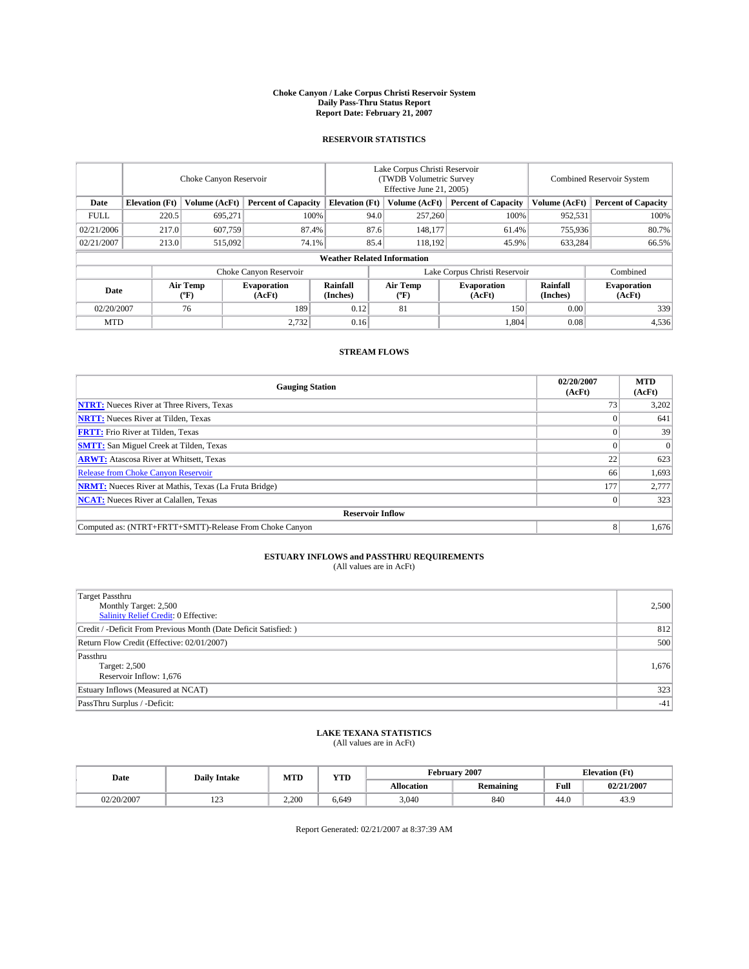#### **Choke Canyon / Lake Corpus Christi Reservoir System Daily Pass-Thru Status Report Report Date: February 21, 2007**

### **RESERVOIR STATISTICS**

|             | Choke Canyon Reservoir             |                  |                              |                               | Lake Corpus Christi Reservoir<br>(TWDB Volumetric Survey<br>Effective June 21, 2005) |                  |                              | <b>Combined Reservoir System</b> |                              |  |  |  |
|-------------|------------------------------------|------------------|------------------------------|-------------------------------|--------------------------------------------------------------------------------------|------------------|------------------------------|----------------------------------|------------------------------|--|--|--|
| Date        | <b>Elevation</b> (Ft)              | Volume (AcFt)    | <b>Percent of Capacity</b>   | <b>Elevation</b> (Ft)         |                                                                                      | Volume (AcFt)    | <b>Percent of Capacity</b>   | Volume (AcFt)                    | <b>Percent of Capacity</b>   |  |  |  |
| <b>FULL</b> | 220.5                              | 695.271          | 100%                         |                               | 94.0                                                                                 | 257,260          | 100%                         | 952,531                          | 100%                         |  |  |  |
| 02/21/2006  | 217.0                              | 607,759          | 87.4%                        |                               | 87.6                                                                                 | 148,177          | 61.4%                        | 755,936                          | 80.7%                        |  |  |  |
| 02/21/2007  | 213.0                              | 515,092          | 74.1%                        |                               | 85.4                                                                                 | 118.192          | 45.9%                        | 633,284                          | 66.5%                        |  |  |  |
|             | <b>Weather Related Information</b> |                  |                              |                               |                                                                                      |                  |                              |                                  |                              |  |  |  |
|             |                                    |                  |                              | Lake Corpus Christi Reservoir |                                                                                      | Combined         |                              |                                  |                              |  |  |  |
| Date        |                                    | Air Temp<br>(°F) | <b>Evaporation</b><br>(AcFt) | Rainfall<br>(Inches)          |                                                                                      | Air Temp<br>("F) | <b>Evaporation</b><br>(AcFt) | Rainfall<br>(Inches)             | <b>Evaporation</b><br>(AcFt) |  |  |  |
| 02/20/2007  |                                    | 76               | 189                          | 0.12                          |                                                                                      | 81               | 150                          | 0.00                             | 339                          |  |  |  |
| <b>MTD</b>  |                                    |                  | 2,732                        | 0.16                          |                                                                                      |                  | 1,804                        | 0.08                             | 4,536                        |  |  |  |

## **STREAM FLOWS**

| <b>Gauging Station</b>                                       | 02/20/2007<br>(AcFt) | <b>MTD</b><br>(AcFt) |
|--------------------------------------------------------------|----------------------|----------------------|
| <b>NTRT:</b> Nueces River at Three Rivers, Texas             |                      | 3,202                |
| <b>NRTT:</b> Nueces River at Tilden, Texas                   |                      | 641                  |
| <b>FRTT:</b> Frio River at Tilden, Texas                     |                      | 39                   |
| <b>SMTT:</b> San Miguel Creek at Tilden, Texas               |                      | $\Omega$             |
| <b>ARWT:</b> Atascosa River at Whitsett, Texas               | 22                   | 623                  |
| <b>Release from Choke Canyon Reservoir</b>                   | 66                   | 1,693                |
| <b>NRMT:</b> Nueces River at Mathis, Texas (La Fruta Bridge) | 177                  | 2,777                |
| <b>NCAT:</b> Nueces River at Calallen, Texas                 |                      | 323                  |
| <b>Reservoir Inflow</b>                                      |                      |                      |
| Computed as: (NTRT+FRTT+SMTT)-Release From Choke Canyon      |                      | 1,676                |

# **ESTUARY INFLOWS and PASSTHRU REQUIREMENTS**<br>(All values are in AcFt)

| <b>Target Passthru</b><br>Monthly Target: 2,500<br>Salinity Relief Credit: 0 Effective: | 2,500 |
|-----------------------------------------------------------------------------------------|-------|
| Credit / -Deficit From Previous Month (Date Deficit Satisfied: )                        | 812   |
| Return Flow Credit (Effective: 02/01/2007)                                              | 500   |
| Passthru<br>Target: 2,500<br>Reservoir Inflow: 1,676                                    | 1,676 |
| Estuary Inflows (Measured at NCAT)                                                      | 323   |
| PassThru Surplus / -Deficit:                                                            | $-41$ |

### **LAKE TEXANA STATISTICS** (All values are in AcFt)

| Date       | <b>Daily Intake</b> | <b>YTD</b><br>MTD |       |            | February 2007    | <b>Elevation</b> (Ft)                   |            |  |
|------------|---------------------|-------------------|-------|------------|------------------|-----------------------------------------|------------|--|
|            |                     |                   |       | Allocation | <b>Remaining</b> | Full<br>the contract of the contract of | 02/21/2007 |  |
| 02/20/2007 | رے 1                | 2.200             | 6.649 | 3,040      | 840              | 44.0                                    | 43.9       |  |

Report Generated: 02/21/2007 at 8:37:39 AM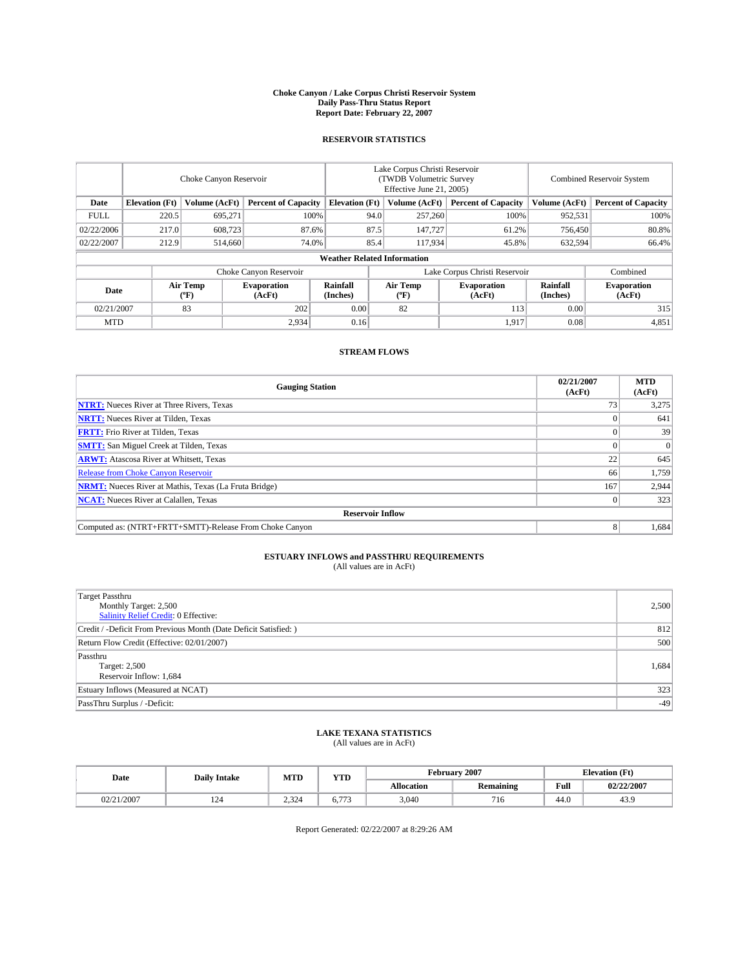#### **Choke Canyon / Lake Corpus Christi Reservoir System Daily Pass-Thru Status Report Report Date: February 22, 2007**

### **RESERVOIR STATISTICS**

|             | Choke Canyon Reservoir             |                                             |                              |                       | Lake Corpus Christi Reservoir<br>(TWDB Volumetric Survey<br>Effective June 21, 2005) |                  |                               |                      | <b>Combined Reservoir System</b> |  |  |
|-------------|------------------------------------|---------------------------------------------|------------------------------|-----------------------|--------------------------------------------------------------------------------------|------------------|-------------------------------|----------------------|----------------------------------|--|--|
| Date        | <b>Elevation</b> (Ft)              | Volume (AcFt)<br><b>Percent of Capacity</b> |                              | <b>Elevation</b> (Ft) |                                                                                      | Volume (AcFt)    | <b>Percent of Capacity</b>    | Volume (AcFt)        | <b>Percent of Capacity</b>       |  |  |
| <b>FULL</b> | 220.5                              | 695.271                                     |                              | 100%<br>94.0          |                                                                                      | 257,260          | 100%                          | 952,531              | 100%                             |  |  |
| 02/22/2006  | 217.0                              | 608,723                                     | 87.6%                        |                       | 87.5                                                                                 | 147,727          | 61.2%                         | 756,450              | 80.8%                            |  |  |
| 02/22/2007  | 212.9                              | 514,660                                     | 74.0%                        |                       | 85.4                                                                                 | 117,934          | 45.8%                         | 632,594              | 66.4%                            |  |  |
|             | <b>Weather Related Information</b> |                                             |                              |                       |                                                                                      |                  |                               |                      |                                  |  |  |
|             |                                    |                                             | Choke Canyon Reservoir       |                       |                                                                                      |                  | Lake Corpus Christi Reservoir |                      | Combined                         |  |  |
| Date        |                                    | Air Temp<br>(°F)                            | <b>Evaporation</b><br>(AcFt) | Rainfall<br>(Inches)  |                                                                                      | Air Temp<br>("F) | <b>Evaporation</b><br>(AcFt)  | Rainfall<br>(Inches) | <b>Evaporation</b><br>(AcFt)     |  |  |
| 02/21/2007  |                                    | 83                                          | 202                          | 0.00                  |                                                                                      | 82               | 113                           | 0.00                 | 315                              |  |  |
| <b>MTD</b>  |                                    |                                             | 2,934                        | 0.16                  |                                                                                      |                  | 1,917                         | 0.08                 | 4,851                            |  |  |

## **STREAM FLOWS**

| <b>Gauging Station</b>                                       | 02/21/2007<br>(AcFt) | <b>MTD</b><br>(AcFt) |
|--------------------------------------------------------------|----------------------|----------------------|
| <b>NTRT:</b> Nueces River at Three Rivers, Texas             |                      | 3,275                |
| <b>NRTT:</b> Nueces River at Tilden, Texas                   |                      | 641                  |
| <b>FRTT:</b> Frio River at Tilden, Texas                     |                      | 39                   |
| <b>SMTT:</b> San Miguel Creek at Tilden, Texas               |                      | $\Omega$             |
| <b>ARWT:</b> Atascosa River at Whitsett, Texas               | 22                   | 645                  |
| <b>Release from Choke Canyon Reservoir</b>                   | 66                   | 1,759                |
| <b>NRMT:</b> Nueces River at Mathis, Texas (La Fruta Bridge) | 167                  | 2,944                |
| <b>NCAT:</b> Nueces River at Calallen, Texas                 |                      | 323                  |
| <b>Reservoir Inflow</b>                                      |                      |                      |
| Computed as: (NTRT+FRTT+SMTT)-Release From Choke Canyon      |                      | 1,684                |

# **ESTUARY INFLOWS and PASSTHRU REQUIREMENTS**<br>(All values are in AcFt)

| <b>Target Passthru</b><br>Monthly Target: 2,500<br>Salinity Relief Credit: 0 Effective: | 2,500 |
|-----------------------------------------------------------------------------------------|-------|
| Credit / -Deficit From Previous Month (Date Deficit Satisfied: )                        | 812   |
| Return Flow Credit (Effective: 02/01/2007)                                              | 500   |
| Passthru<br>Target: 2,500<br>Reservoir Inflow: 1,684                                    | 1,684 |
| Estuary Inflows (Measured at NCAT)                                                      | 323   |
| PassThru Surplus / -Deficit:                                                            | $-49$ |

### **LAKE TEXANA STATISTICS** (All values are in AcFt)

| Date   | <b>Daily Intake</b> | MTD             | YTD                    |            | February 2007    |                                         | <b>Elevation</b> (Ft) |  |
|--------|---------------------|-----------------|------------------------|------------|------------------|-----------------------------------------|-----------------------|--|
|        |                     |                 |                        | Allocation | <b>Remaining</b> | Full<br>the contract of the contract of | 02/22/2007            |  |
| 1/2007 | ⊥∠⊣                 | $\sim$<br>2.324 | $\sim$<br>$\mathbf{u}$ | 3,040      | $\sim$ 1<br>716  | 44.0                                    | 43.5                  |  |

Report Generated: 02/22/2007 at 8:29:26 AM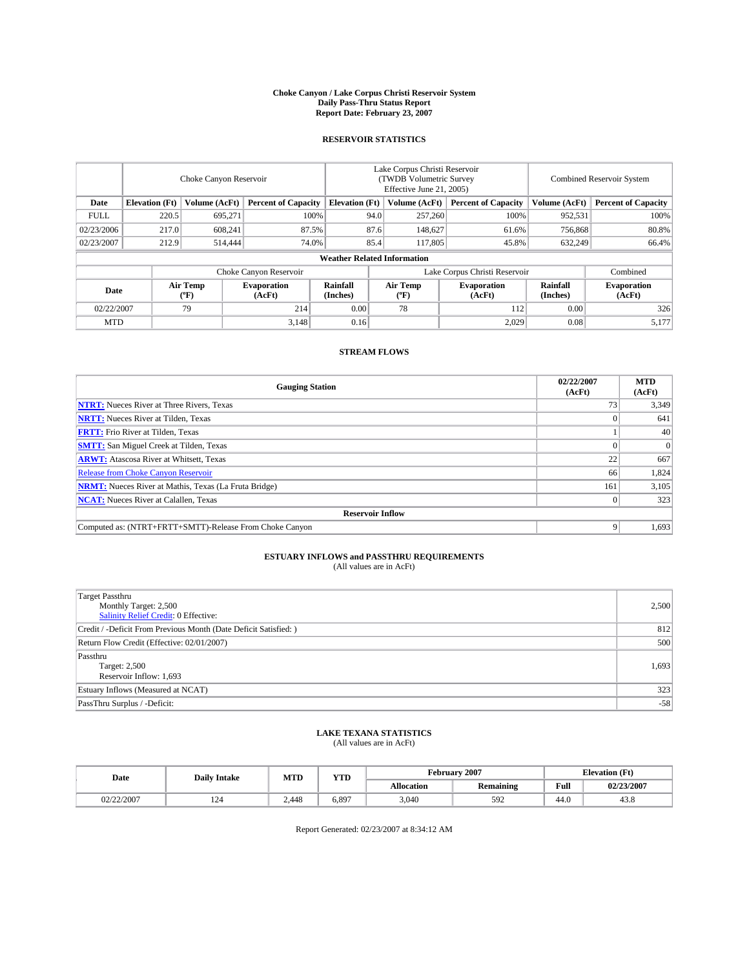#### **Choke Canyon / Lake Corpus Christi Reservoir System Daily Pass-Thru Status Report Report Date: February 23, 2007**

### **RESERVOIR STATISTICS**

|             | Choke Canyon Reservoir             |                                             |                              |                       | Lake Corpus Christi Reservoir<br>(TWDB Volumetric Survey<br>Effective June 21, 2005) |                  |                               |                      | <b>Combined Reservoir System</b> |  |  |
|-------------|------------------------------------|---------------------------------------------|------------------------------|-----------------------|--------------------------------------------------------------------------------------|------------------|-------------------------------|----------------------|----------------------------------|--|--|
| Date        | <b>Elevation</b> (Ft)              | Volume (AcFt)<br><b>Percent of Capacity</b> |                              | <b>Elevation</b> (Ft) |                                                                                      | Volume (AcFt)    | <b>Percent of Capacity</b>    | Volume (AcFt)        | <b>Percent of Capacity</b>       |  |  |
| <b>FULL</b> | 220.5                              | 695.271                                     |                              | 94.0<br>100%          |                                                                                      | 257,260          | 100%                          | 952,531              | 100%                             |  |  |
| 02/23/2006  | 217.0                              | 608.241                                     | 87.5%                        |                       | 87.6                                                                                 | 148,627          | 61.6%                         | 756,868              | 80.8%                            |  |  |
| 02/23/2007  | 212.9                              | 514,444                                     | 74.0%                        |                       | 85.4                                                                                 | 117,805          | 45.8%                         | 632,249              | 66.4%                            |  |  |
|             | <b>Weather Related Information</b> |                                             |                              |                       |                                                                                      |                  |                               |                      |                                  |  |  |
|             |                                    |                                             | Choke Canyon Reservoir       |                       |                                                                                      |                  | Lake Corpus Christi Reservoir |                      | Combined                         |  |  |
| Date        |                                    | Air Temp<br>("F)                            | <b>Evaporation</b><br>(AcFt) | Rainfall<br>(Inches)  |                                                                                      | Air Temp<br>("F) | <b>Evaporation</b><br>(AcFt)  | Rainfall<br>(Inches) | <b>Evaporation</b><br>(AcFt)     |  |  |
| 02/22/2007  |                                    | 79                                          | 214                          | 0.00                  |                                                                                      | 78               | 112                           | 0.00                 | 326                              |  |  |
| <b>MTD</b>  |                                    |                                             | 3,148                        | 0.16                  |                                                                                      |                  | 2,029                         | 0.08                 | 5,177                            |  |  |

## **STREAM FLOWS**

| <b>Gauging Station</b>                                       | 02/22/2007<br>(AcFt) | <b>MTD</b><br>(AcFt) |
|--------------------------------------------------------------|----------------------|----------------------|
| <b>NTRT:</b> Nueces River at Three Rivers, Texas             |                      | 3,349                |
| <b>NRTT:</b> Nueces River at Tilden, Texas                   |                      | 641                  |
| <b>FRTT:</b> Frio River at Tilden, Texas                     |                      | 40                   |
| <b>SMTT:</b> San Miguel Creek at Tilden, Texas               |                      | $\Omega$             |
| <b>ARWT:</b> Atascosa River at Whitsett, Texas               | 22                   | 667                  |
| <b>Release from Choke Canyon Reservoir</b>                   | 66                   | 1,824                |
| <b>NRMT:</b> Nueces River at Mathis, Texas (La Fruta Bridge) | 161                  | 3,105                |
| <b>NCAT:</b> Nueces River at Calallen, Texas                 |                      | 323                  |
| <b>Reservoir Inflow</b>                                      |                      |                      |
| Computed as: (NTRT+FRTT+SMTT)-Release From Choke Canyon      |                      | 1,693                |

# **ESTUARY INFLOWS and PASSTHRU REQUIREMENTS**<br>(All values are in AcFt)

| <b>Target Passthru</b><br>Monthly Target: 2,500<br>Salinity Relief Credit: 0 Effective: | 2,500 |
|-----------------------------------------------------------------------------------------|-------|
| Credit / -Deficit From Previous Month (Date Deficit Satisfied: )                        | 812   |
| Return Flow Credit (Effective: 02/01/2007)                                              | 500   |
| Passthru<br>Target: 2,500<br>Reservoir Inflow: 1,693                                    | 1,693 |
| Estuary Inflows (Measured at NCAT)                                                      | 323   |
| PassThru Surplus / -Deficit:                                                            | $-58$ |

### **LAKE TEXANA STATISTICS** (All values are in AcFt)

|  | Date       | <b>Daily Intake</b> | <b>MTD</b> | YTD   |            | February 2007    |      | <b>Elevation</b> (Ft) |
|--|------------|---------------------|------------|-------|------------|------------------|------|-----------------------|
|  |            |                     |            |       | Allocation | <b>Remaining</b> | Full | 02/23/2007            |
|  | 02/22/2007 | 124                 | 2.448      | 0.897 | 3.040      | 592              | 44.0 | 43.8                  |

Report Generated: 02/23/2007 at 8:34:12 AM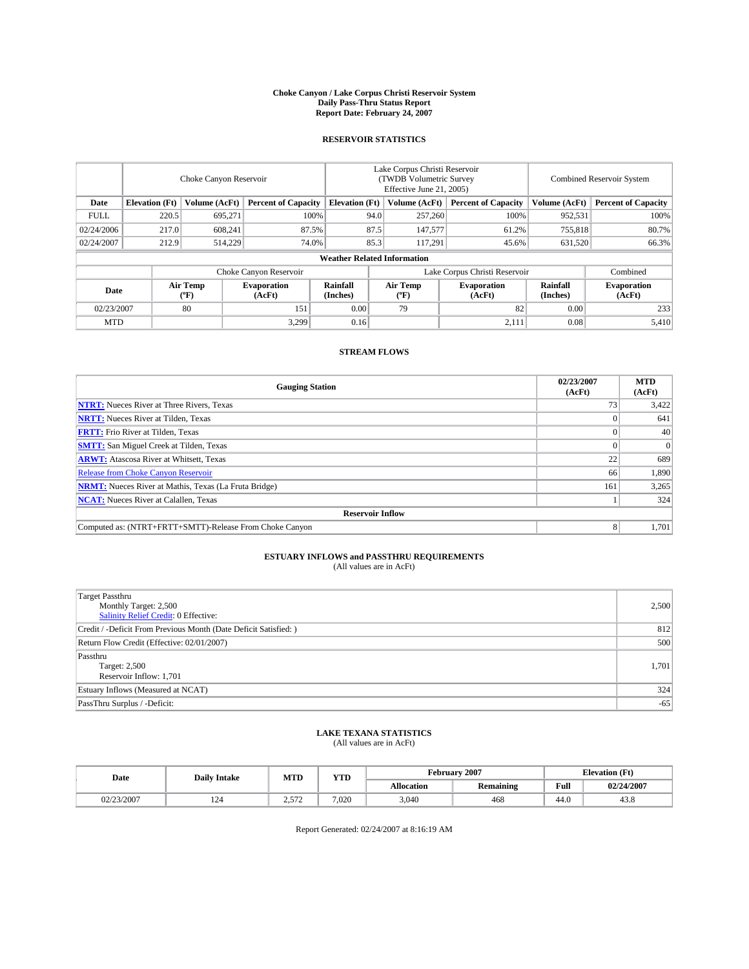#### **Choke Canyon / Lake Corpus Christi Reservoir System Daily Pass-Thru Status Report Report Date: February 24, 2007**

### **RESERVOIR STATISTICS**

|                                                                              | Choke Canyon Reservoir |                       |                              |                                    | Lake Corpus Christi Reservoir<br>(TWDB Volumetric Survey<br>Effective June 21, 2005) |                  |                               |                      | <b>Combined Reservoir System</b> |  |  |
|------------------------------------------------------------------------------|------------------------|-----------------------|------------------------------|------------------------------------|--------------------------------------------------------------------------------------|------------------|-------------------------------|----------------------|----------------------------------|--|--|
| <b>Elevation</b> (Ft)<br>Volume (AcFt)<br><b>Percent of Capacity</b><br>Date |                        | <b>Elevation</b> (Ft) |                              | Volume (AcFt)                      | <b>Percent of Capacity</b>                                                           | Volume (AcFt)    | <b>Percent of Capacity</b>    |                      |                                  |  |  |
| <b>FULL</b>                                                                  | 220.5                  | 695.271               | 100%                         |                                    | 94.0                                                                                 | 257,260          | 100%                          | 952,531              | 100%                             |  |  |
| 02/24/2006                                                                   | 217.0                  | 608,241               | 87.5%                        |                                    | 87.5                                                                                 | 147,577          | 61.2%                         | 755,818              | 80.7%                            |  |  |
| 02/24/2007                                                                   | 212.9                  | 514,229               | 74.0%                        | 85.3                               |                                                                                      | 117,291          | 45.6%                         | 631,520              | 66.3%                            |  |  |
|                                                                              |                        |                       |                              | <b>Weather Related Information</b> |                                                                                      |                  |                               |                      |                                  |  |  |
|                                                                              |                        |                       | Choke Canyon Reservoir       |                                    |                                                                                      |                  | Lake Corpus Christi Reservoir |                      | Combined                         |  |  |
| Date                                                                         |                        | Air Temp<br>(°F)      | <b>Evaporation</b><br>(AcFt) | Rainfall<br>(Inches)               |                                                                                      | Air Temp<br>("F) | <b>Evaporation</b><br>(AcFt)  | Rainfall<br>(Inches) | <b>Evaporation</b><br>(AcFt)     |  |  |
| 02/23/2007                                                                   |                        | 80                    | 151                          | 0.00                               |                                                                                      | 79               | 82                            | 0.00                 | 233                              |  |  |
| <b>MTD</b>                                                                   |                        |                       | 3.299                        | 0.16                               |                                                                                      |                  | 2,111                         | 0.08                 | 5,410                            |  |  |

## **STREAM FLOWS**

| <b>Gauging Station</b>                                       | 02/23/2007<br>(AcFt) | <b>MTD</b><br>(AcFt) |
|--------------------------------------------------------------|----------------------|----------------------|
| <b>NTRT:</b> Nueces River at Three Rivers, Texas             |                      | 3,422                |
| <b>NRTT:</b> Nueces River at Tilden, Texas                   |                      | 641                  |
| <b>FRTT:</b> Frio River at Tilden, Texas                     |                      | 40                   |
| <b>SMTT:</b> San Miguel Creek at Tilden, Texas               |                      | $\overline{0}$       |
| <b>ARWT:</b> Atascosa River at Whitsett, Texas               | 22                   | 689                  |
| <b>Release from Choke Canyon Reservoir</b>                   | 66                   | 1,890                |
| <b>NRMT:</b> Nueces River at Mathis, Texas (La Fruta Bridge) | 161                  | 3,265                |
| <b>NCAT:</b> Nueces River at Calallen, Texas                 |                      | 324                  |
| <b>Reservoir Inflow</b>                                      |                      |                      |
| Computed as: (NTRT+FRTT+SMTT)-Release From Choke Canyon      | 8                    | 1,701                |

# **ESTUARY INFLOWS and PASSTHRU REQUIREMENTS**<br>(All values are in AcFt)

| <b>Target Passthru</b><br>Monthly Target: 2,500<br>Salinity Relief Credit: 0 Effective: | 2,500 |
|-----------------------------------------------------------------------------------------|-------|
| Credit / -Deficit From Previous Month (Date Deficit Satisfied: )                        | 812   |
| Return Flow Credit (Effective: 02/01/2007)                                              | 500   |
| Passthru<br>Target: 2,500<br>Reservoir Inflow: 1,701                                    | 1,701 |
| Estuary Inflows (Measured at NCAT)                                                      | 324   |
| PassThru Surplus / -Deficit:                                                            | $-65$ |

### **LAKE TEXANA STATISTICS** (All values are in AcFt)

|  | Date       | <b>Daily Intake</b> | <b>MTD</b>          | <b>YTD</b> | February 2007 |           |                                         | <b>Elevation</b> (Ft) |
|--|------------|---------------------|---------------------|------------|---------------|-----------|-----------------------------------------|-----------------------|
|  |            |                     |                     |            | Allocation    | Remaining | Full<br>the contract of the contract of | 02/24/2007            |
|  | 02/23/2007 | 124                 | $\sim$<br>سم<br>. . | 7.020      | 3,040         | 468       | 44.0                                    | 43.8                  |

Report Generated: 02/24/2007 at 8:16:19 AM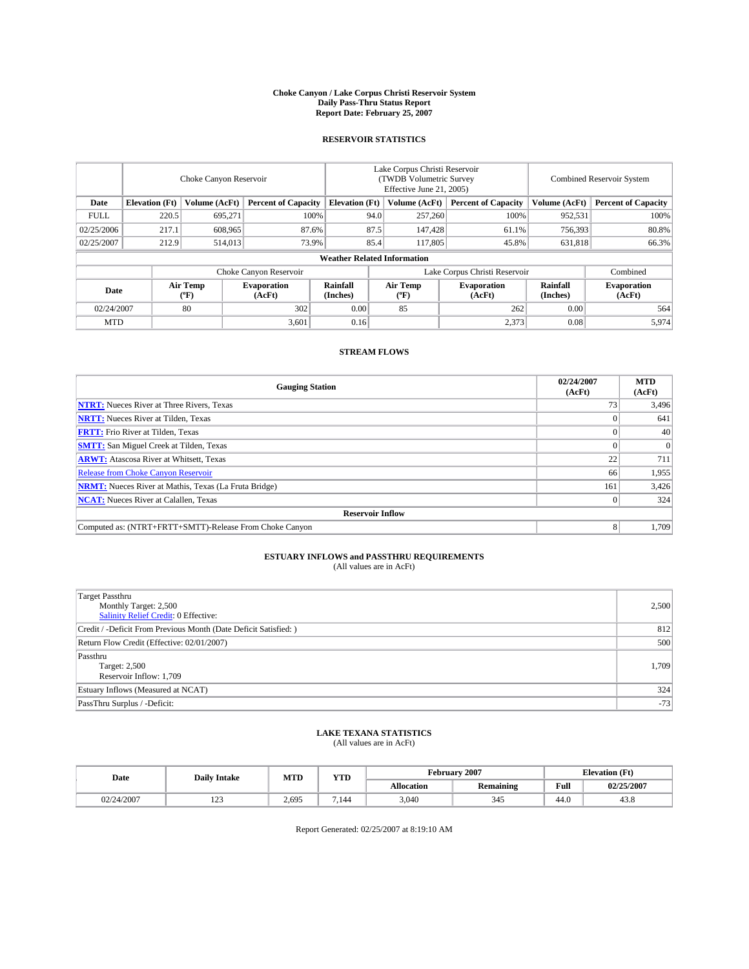#### **Choke Canyon / Lake Corpus Christi Reservoir System Daily Pass-Thru Status Report Report Date: February 25, 2007**

### **RESERVOIR STATISTICS**

|             | Choke Canyon Reservoir             |                  |                              |                       | Lake Corpus Christi Reservoir<br>(TWDB Volumetric Survey<br>Effective June 21, 2005) |                  |                               |                      | <b>Combined Reservoir System</b> |  |  |  |
|-------------|------------------------------------|------------------|------------------------------|-----------------------|--------------------------------------------------------------------------------------|------------------|-------------------------------|----------------------|----------------------------------|--|--|--|
| Date        | <b>Elevation</b> (Ft)              | Volume (AcFt)    | <b>Percent of Capacity</b>   | <b>Elevation</b> (Ft) |                                                                                      | Volume (AcFt)    | <b>Percent of Capacity</b>    | Volume (AcFt)        | <b>Percent of Capacity</b>       |  |  |  |
| <b>FULL</b> | 220.5                              | 695,271          | 100%                         |                       | 94.0                                                                                 | 257,260          | 100%                          | 952,531              | 100%                             |  |  |  |
| 02/25/2006  | 217.1                              | 608,965          | 87.6%                        |                       | 87.5                                                                                 | 147,428          | 61.1%                         | 756,393              | 80.8%                            |  |  |  |
| 02/25/2007  | 212.9                              | 514,013          | 73.9%                        |                       | 85.4                                                                                 | 117,805          | 45.8%                         | 631,818              | 66.3%                            |  |  |  |
|             | <b>Weather Related Information</b> |                  |                              |                       |                                                                                      |                  |                               |                      |                                  |  |  |  |
|             |                                    |                  | Choke Canyon Reservoir       |                       |                                                                                      |                  | Lake Corpus Christi Reservoir |                      | Combined                         |  |  |  |
| Date        |                                    | Air Temp<br>(°F) | <b>Evaporation</b><br>(AcFt) | Rainfall<br>(Inches)  |                                                                                      | Air Temp<br>("F) | <b>Evaporation</b><br>(AcFt)  | Rainfall<br>(Inches) | <b>Evaporation</b><br>(AcFt)     |  |  |  |
| 02/24/2007  |                                    | 80               | 302                          | 0.00                  |                                                                                      | 85               | 262                           | 0.00                 | 564                              |  |  |  |
| <b>MTD</b>  |                                    |                  | 3,601                        | 0.16                  |                                                                                      |                  | 2,373                         | 0.08                 | 5,974                            |  |  |  |

### **STREAM FLOWS**

| <b>Gauging Station</b>                                       | 02/24/2007<br>(AcFt) | <b>MTD</b><br>(AcFt) |
|--------------------------------------------------------------|----------------------|----------------------|
| <b>NTRT:</b> Nueces River at Three Rivers, Texas             |                      | 3,496                |
| <b>NRTT:</b> Nueces River at Tilden, Texas                   |                      | 641                  |
| <b>FRTT:</b> Frio River at Tilden, Texas                     |                      | 40                   |
| <b>SMTT:</b> San Miguel Creek at Tilden, Texas               |                      | $\overline{0}$       |
| <b>ARWT:</b> Atascosa River at Whitsett, Texas               | 22                   | 711                  |
| <b>Release from Choke Canyon Reservoir</b>                   | 66                   | 1,955                |
| <b>NRMT:</b> Nueces River at Mathis, Texas (La Fruta Bridge) | 161                  | 3,426                |
| <b>NCAT:</b> Nueces River at Calallen, Texas                 |                      | 324                  |
| <b>Reservoir Inflow</b>                                      |                      |                      |
| Computed as: (NTRT+FRTT+SMTT)-Release From Choke Canyon      | 8                    | 1,709                |

# **ESTUARY INFLOWS and PASSTHRU REQUIREMENTS**<br>(All values are in AcFt)

| <b>Target Passthru</b><br>Monthly Target: 2,500<br>Salinity Relief Credit: 0 Effective: | 2,500 |
|-----------------------------------------------------------------------------------------|-------|
| Credit / -Deficit From Previous Month (Date Deficit Satisfied: )                        | 812   |
| Return Flow Credit (Effective: 02/01/2007)                                              | 500   |
| Passthru<br>Target: 2,500<br>Reservoir Inflow: 1,709                                    | 1,709 |
| Estuary Inflows (Measured at NCAT)                                                      | 324   |
| PassThru Surplus / -Deficit:                                                            | $-73$ |

### **LAKE TEXANA STATISTICS** (All values are in AcFt)

|  | Date       | <b>MTD</b><br><b>Daily Intake</b> |       | <b>YTD</b> |            | February 2007 | <b>Elevation</b> (Ft) |            |  |
|--|------------|-----------------------------------|-------|------------|------------|---------------|-----------------------|------------|--|
|  |            |                                   |       |            | Allocation | Remaining     | Full                  | 02/25/2007 |  |
|  | 02/24/2007 | $\sim$<br>ن که 1                  | 2,695 | '.144      | 3,040      | 345           | 44.0                  | 43.8       |  |

Report Generated: 02/25/2007 at 8:19:10 AM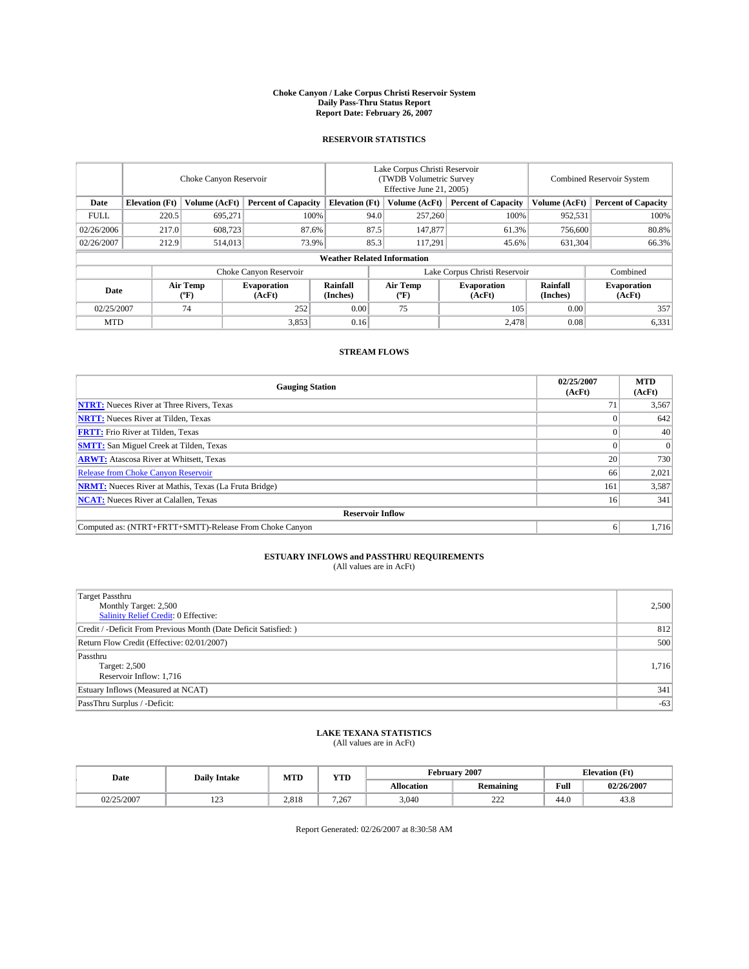#### **Choke Canyon / Lake Corpus Christi Reservoir System Daily Pass-Thru Status Report Report Date: February 26, 2007**

### **RESERVOIR STATISTICS**

|             | Choke Canyon Reservoir             |                  |                              |                       | Lake Corpus Christi Reservoir<br>(TWDB Volumetric Survey<br>Effective June 21, 2005) |                  |                               |                      | <b>Combined Reservoir System</b> |  |  |  |
|-------------|------------------------------------|------------------|------------------------------|-----------------------|--------------------------------------------------------------------------------------|------------------|-------------------------------|----------------------|----------------------------------|--|--|--|
| Date        | <b>Elevation</b> (Ft)              | Volume (AcFt)    | <b>Percent of Capacity</b>   | <b>Elevation</b> (Ft) |                                                                                      | Volume (AcFt)    | <b>Percent of Capacity</b>    | Volume (AcFt)        | <b>Percent of Capacity</b>       |  |  |  |
| <b>FULL</b> | 220.5                              | 695.271          | 100%                         |                       | 94.0                                                                                 | 257,260          | 100%                          | 952,531              | 100%                             |  |  |  |
| 02/26/2006  | 217.0                              | 608,723          | 87.6%                        |                       | 87.5                                                                                 | 147,877          | 61.3%                         | 756,600              | 80.8%                            |  |  |  |
| 02/26/2007  | 212.9                              | 514,013          | 73.9%                        |                       | 85.3                                                                                 | 117.291          | 45.6%                         | 631,304              | 66.3%                            |  |  |  |
|             | <b>Weather Related Information</b> |                  |                              |                       |                                                                                      |                  |                               |                      |                                  |  |  |  |
|             |                                    |                  | Choke Canyon Reservoir       |                       |                                                                                      |                  | Lake Corpus Christi Reservoir |                      | Combined                         |  |  |  |
| Date        |                                    | Air Temp<br>(°F) | <b>Evaporation</b><br>(AcFt) | Rainfall<br>(Inches)  |                                                                                      | Air Temp<br>("F) | <b>Evaporation</b><br>(AcFt)  | Rainfall<br>(Inches) | <b>Evaporation</b><br>(AcFt)     |  |  |  |
| 02/25/2007  |                                    | 74               | 252                          | 0.00                  |                                                                                      | 75               | 105                           | 0.00                 | 357                              |  |  |  |
| <b>MTD</b>  |                                    |                  | 3,853                        | 0.16                  |                                                                                      |                  | 2,478                         | 0.08                 | 6,331                            |  |  |  |

## **STREAM FLOWS**

| <b>Gauging Station</b>                                       | 02/25/2007<br>(AcFt) | <b>MTD</b><br>(AcFt) |
|--------------------------------------------------------------|----------------------|----------------------|
| <b>NTRT:</b> Nueces River at Three Rivers, Texas             |                      | 3,567                |
| <b>NRTT:</b> Nueces River at Tilden, Texas                   |                      | 642                  |
| <b>FRTT:</b> Frio River at Tilden, Texas                     |                      | 40                   |
| <b>SMTT:</b> San Miguel Creek at Tilden, Texas               |                      | $\overline{0}$       |
| <b>ARWT:</b> Atascosa River at Whitsett, Texas               | 20                   | 730                  |
| <b>Release from Choke Canyon Reservoir</b>                   | 66                   | 2,021                |
| <b>NRMT:</b> Nueces River at Mathis, Texas (La Fruta Bridge) | 161                  | 3,587                |
| <b>NCAT:</b> Nueces River at Calallen, Texas                 | 16                   | 341                  |
| <b>Reservoir Inflow</b>                                      |                      |                      |
| Computed as: (NTRT+FRTT+SMTT)-Release From Choke Canyon      | 6                    | 1,716                |

# **ESTUARY INFLOWS and PASSTHRU REQUIREMENTS**<br>(All values are in AcFt)

| <b>Target Passthru</b><br>Monthly Target: 2,500<br>Salinity Relief Credit: 0 Effective: | 2,500 |
|-----------------------------------------------------------------------------------------|-------|
| Credit / -Deficit From Previous Month (Date Deficit Satisfied: )                        | 812   |
| Return Flow Credit (Effective: 02/01/2007)                                              | 500   |
| Passthru<br>Target: 2,500<br>Reservoir Inflow: 1,716                                    | 1,716 |
| Estuary Inflows (Measured at NCAT)                                                      | 341   |
| PassThru Surplus / -Deficit:                                                            | $-63$ |

### **LAKE TEXANA STATISTICS** (All values are in AcFt)

|  | Date       | <b>Daily Intake</b> | <b>MTD</b> | YTD   | February 2007 |                  |                                         | <b>Elevation</b> (Ft) |
|--|------------|---------------------|------------|-------|---------------|------------------|-----------------------------------------|-----------------------|
|  |            |                     |            |       | Allocation    | <b>Remaining</b> | Full<br>the contract of the contract of | 02/26/2007            |
|  | 02/25/2007 | $\sim$<br>رے 1      | 2.818      | 7.267 | 3.040         | 222<br><u>_</u>  | 44.0                                    | 43.8                  |

Report Generated: 02/26/2007 at 8:30:58 AM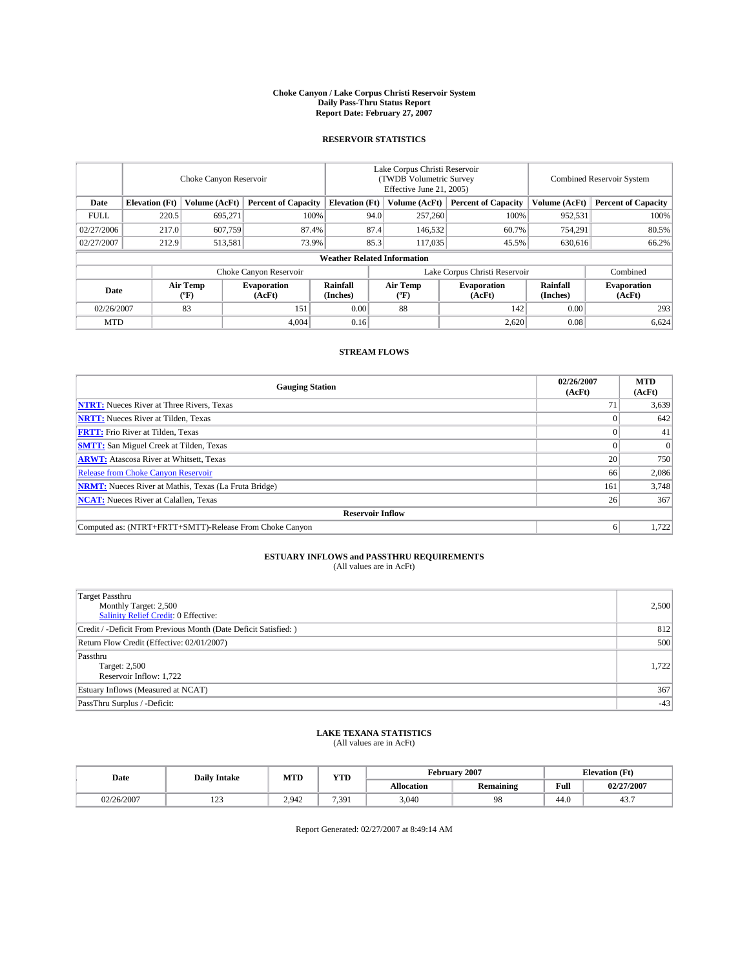#### **Choke Canyon / Lake Corpus Christi Reservoir System Daily Pass-Thru Status Report Report Date: February 27, 2007**

### **RESERVOIR STATISTICS**

|             | Choke Canyon Reservoir             |                  |                              |                       | Lake Corpus Christi Reservoir<br>(TWDB Volumetric Survey<br>Effective June 21, 2005) |                              |                               | <b>Combined Reservoir System</b> |                              |  |  |  |
|-------------|------------------------------------|------------------|------------------------------|-----------------------|--------------------------------------------------------------------------------------|------------------------------|-------------------------------|----------------------------------|------------------------------|--|--|--|
| Date        | <b>Elevation</b> (Ft)              | Volume (AcFt)    | <b>Percent of Capacity</b>   | <b>Elevation</b> (Ft) |                                                                                      | Volume (AcFt)                | <b>Percent of Capacity</b>    | Volume (AcFt)                    | <b>Percent of Capacity</b>   |  |  |  |
| <b>FULL</b> | 220.5                              | 695.271          | 100%                         |                       | 94.0                                                                                 | 257,260                      | 100%                          | 952,531                          | 100%                         |  |  |  |
| 02/27/2006  | 217.0                              | 607,759          | 87.4%                        |                       | 87.4                                                                                 | 146,532                      | 60.7%                         | 754,291                          | 80.5%                        |  |  |  |
| 02/27/2007  | 212.9                              | 513,581          | 73.9%                        |                       | 85.3                                                                                 | 117,035                      | 45.5%                         | 630,616                          | 66.2%                        |  |  |  |
|             | <b>Weather Related Information</b> |                  |                              |                       |                                                                                      |                              |                               |                                  |                              |  |  |  |
|             |                                    |                  | Choke Canyon Reservoir       |                       |                                                                                      |                              | Lake Corpus Christi Reservoir |                                  | Combined                     |  |  |  |
| Date        |                                    | Air Temp<br>(°F) | <b>Evaporation</b><br>(AcFt) | Rainfall<br>(Inches)  |                                                                                      | Air Temp<br>$(^{o}\text{F})$ | <b>Evaporation</b><br>(AcFt)  | Rainfall<br>(Inches)             | <b>Evaporation</b><br>(AcFt) |  |  |  |
| 02/26/2007  |                                    | 83               | 151                          | 0.00                  |                                                                                      | 88                           | 142                           | 0.00                             | 293                          |  |  |  |
| <b>MTD</b>  |                                    |                  | 4,004                        | 0.16                  |                                                                                      |                              | 2,620                         | 0.08                             | 6,624                        |  |  |  |

## **STREAM FLOWS**

| <b>Gauging Station</b>                                       | 02/26/2007<br>(AcFt) | <b>MTD</b><br>(AcFt) |
|--------------------------------------------------------------|----------------------|----------------------|
| <b>NTRT:</b> Nueces River at Three Rivers, Texas             |                      | 3,639                |
| <b>NRTT:</b> Nueces River at Tilden, Texas                   |                      | 642                  |
| <b>FRTT:</b> Frio River at Tilden, Texas                     |                      | 41                   |
| <b>SMTT:</b> San Miguel Creek at Tilden, Texas               |                      | $\overline{0}$       |
| <b>ARWT:</b> Atascosa River at Whitsett, Texas               | 20                   | 750                  |
| <b>Release from Choke Canyon Reservoir</b>                   | 66                   | 2,086                |
| <b>NRMT:</b> Nueces River at Mathis, Texas (La Fruta Bridge) | 161                  | 3.748                |
| <b>NCAT:</b> Nueces River at Calallen, Texas                 | 26                   | 367                  |
| <b>Reservoir Inflow</b>                                      |                      |                      |
| Computed as: (NTRT+FRTT+SMTT)-Release From Choke Canyon      | <sub>0</sub>         | 1,722                |

# **ESTUARY INFLOWS and PASSTHRU REQUIREMENTS**<br>(All values are in AcFt)

| <b>Target Passthru</b><br>Monthly Target: 2,500<br>Salinity Relief Credit: 0 Effective: | 2,500 |
|-----------------------------------------------------------------------------------------|-------|
| Credit / -Deficit From Previous Month (Date Deficit Satisfied: )                        | 812   |
| Return Flow Credit (Effective: 02/01/2007)                                              | 500   |
| Passthru<br>Target: 2,500<br>Reservoir Inflow: 1.722                                    | 1,722 |
| Estuary Inflows (Measured at NCAT)                                                      | 367   |
| PassThru Surplus / -Deficit:                                                            | $-43$ |

#### **LAKE TEXANA STATISTICS** (All values are in AcFt)

| Date       | <b>Daily Intake</b> | MTD   | <b>YTD</b> |            | February 2007    |      | <b>Elevation</b> (Ft) |  |
|------------|---------------------|-------|------------|------------|------------------|------|-----------------------|--|
|            |                     |       |            | Allocation | <b>Remaining</b> | Full | 02/27/2007            |  |
| 02/26/2007 | $\sim$<br>رے 1      | 2.942 | 7391<br>.  | 3.040      | 98               | 44.0 | $40 -$<br>4.5         |  |

Report Generated: 02/27/2007 at 8:49:14 AM